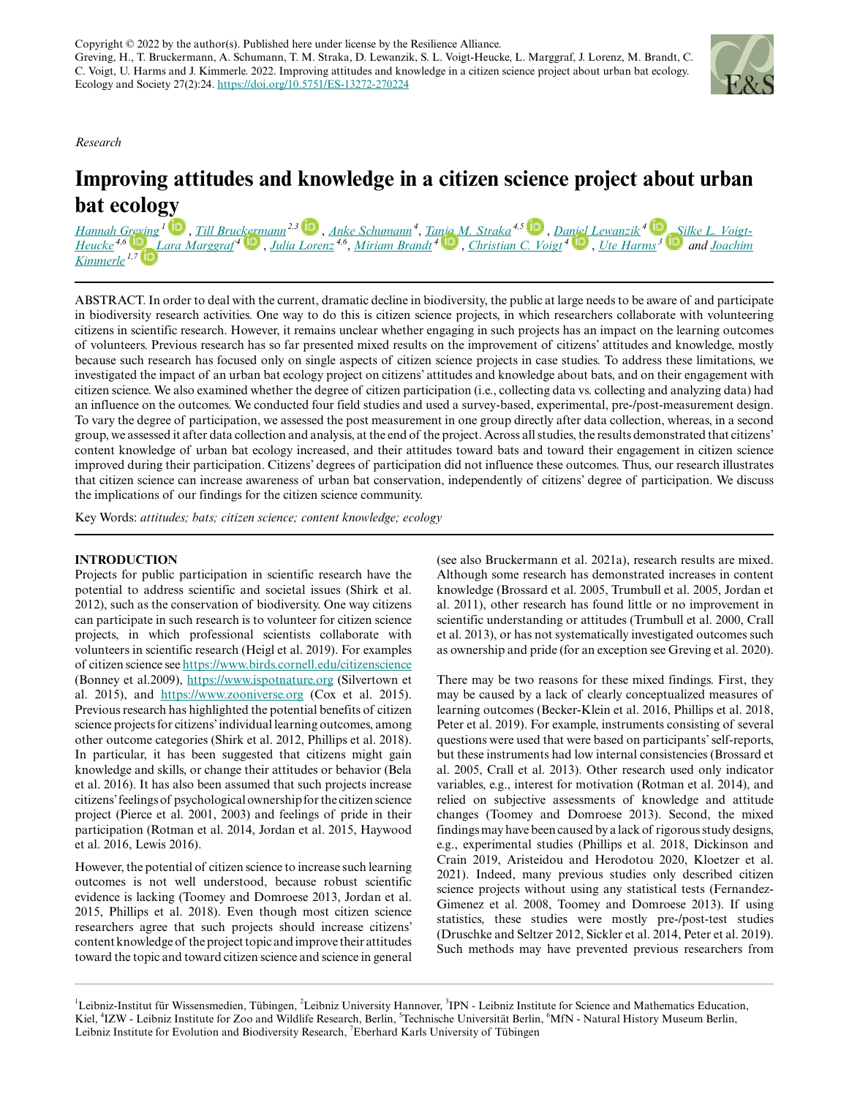

## *Research*

# **Improving attitudes and knowledge in a citizen science project about urban bat ecolo[gy](https://orcid.org/0000-0001-5487-9506)**

*[Hannah Greving](mailto:h.greving@iwm-tuebingen.de)*<sup>1</sup><sup>(1)</sup>, *[Till Bruckermann](mailto:till.bruckermann@iew.uni-hannover.de)<sup>2,3</sup><sup>(1)</sup>, <i>[Anke Schumann](mailto:schumann@izw-berlin.de)<sup>4</sup>, [Tanja M. Straka](mailto:tanja.straka@tu-berlin.de)*<sup>4,5</sup><sup>(1)</sup>, *Danjel Lewanzik*<sup>4</sup><sup>(1)</sup>, *[Silke L. Voigt-](mailto:silke.voigt-heucke@mfn.berlin)[Heucke](mailto:silke.voigt-heucke@mfn.berlin)*<sup>4,6</sup> **.** *[Lara Marggraf](mailto:lara.marggraf@gmail.com)<sup>4</sup> b, <i>[Julia Lorenz](mailto:julia.lorenz@live.de)*<sup>4,6</sup>, *[Miriam Brandt](mailto:brandt@izw-berlin.de)*<sup>4</sup> **b**<sub>,</sub> *[Christian C. Voigt](mailto:voigt@izw-berlin.de)*<sup>4</sup> **b**<sub>,</sub> *[Ute Harms](mailto:harms@leibniz-ipn.de)*<sup>3</sup> **b**<sub>*and*</sup> *[Joachim](mailto:j.kimmerle@iwm-tuebingen.de)*</sub> *[Kimmerle](mailto:j.kimmerle@iwm-tuebingen.de) 1,7*

ABSTRACT. In order to deal with the current, dramatic decline in biodiversity, the public at large needs to be aware of and participate in biodiversity research activities. One way to do this is citizen science projects, in which researchers collaborate with volunteering citizens in scientific research. However, it remains unclear whether engaging in such projects has an impact on the learning outcomes of volunteers. Previous research has so far presented mixed results on the improvement of citizens' attitudes and knowledge, mostly because such research has focused only on single aspects of citizen science projects in case studies. To address these limitations, we investigated the impact of an urban bat ecology project on citizens' attitudes and knowledge about bats, and on their engagement with citizen science. We also examined whether the degree of citizen participation (i.e., collecting data vs. collecting and analyzing data) had an influence on the outcomes. We conducted four field studies and used a survey-based, experimental, pre-/post-measurement design. To vary the degree of participation, we assessed the post measurement in one group directly after data collection, whereas, in a second group, we assessed it after data collection and analysis, at the end of the project. Across all studies, the results demonstrated that citizens' content knowledge of urban bat ecology increased, and their attitudes toward bats and toward their engagement in citizen science improved during their participation. Citizens' degrees of participation did not influence these outcomes. Thus, our research illustrates that citizen science can increase awareness of urban bat conservation, independently of citizens' degree of participation. We discuss the implications of our findings for the citizen science community.

Key Words: *attitudes; bats; citizen science; content knowledge; ecology*

### **INTRODUCTION**

Projects for public participation in scientific research have the potential to address scientific and societal issues (Shirk et al. 2012), such as the conservation of biodiversity. One way citizens can participate in such research is to volunteer for citizen science projects, in which professional scientists collaborate with volunteers in scientific research (Heigl et al. 2019). For examples of citizen science see<https://www.birds.cornell.edu/citizenscience> (Bonney et al.2009), <https://www.ispotnature.org>(Silvertown et al. 2015), and <https://www.zooniverse.org>(Cox et al. 2015). Previous research has highlighted the potential benefits of citizen science projects for citizens' individual learning outcomes, among other outcome categories (Shirk et al. 2012, Phillips et al. 2018). In particular, it has been suggested that citizens might gain knowledge and skills, or change their attitudes or behavior (Bela et al. 2016). It has also been assumed that such projects increase citizens' feelings of psychological ownership for the citizen science project (Pierce et al. 2001, 2003) and feelings of pride in their participation (Rotman et al. 2014, Jordan et al. 2015, Haywood et al. 2016, Lewis 2016).

However, the potential of citizen science to increase such learning outcomes is not well understood, because robust scientific evidence is lacking (Toomey and Domroese 2013, Jordan et al. 2015, Phillips et al. 2018). Even though most citizen science researchers agree that such projects should increase citizens' content knowledge of the project topic and improve their attitudes toward the topic and toward citizen science and science in general (see also Bruckermann et al. 2021a), research results are mixed. Although some research has demonstrated increases in content knowledge (Brossard et al. 2005, Trumbull et al. 2005, Jordan et al. 2011), other research has found little or no improvement in scientific understanding or attitudes (Trumbull et al. 2000, Crall et al. 2013), or has not systematically investigated outcomes such as ownership and pride (for an exception see Greving et al. 2020).

There may be two reasons for these mixed findings. First, they may be caused by a lack of clearly conceptualized measures of learning outcomes (Becker-Klein et al. 2016, Phillips et al. 2018, Peter et al. 2019). For example, instruments consisting of several questions were used that were based on participants' self-reports, but these instruments had low internal consistencies (Brossard et al. 2005, Crall et al. 2013). Other research used only indicator variables, e.g., interest for motivation (Rotman et al. 2014), and relied on subjective assessments of knowledge and attitude changes (Toomey and Domroese 2013). Second, the mixed findings may have been caused by a lack of rigorous study designs, e.g., experimental studies (Phillips et al. 2018, Dickinson and Crain 2019, Aristeidou and Herodotou 2020, Kloetzer et al. 2021). Indeed, many previous studies only described citizen science projects without using any statistical tests (Fernandez-Gimenez et al. 2008, Toomey and Domroese 2013). If using statistics, these studies were mostly pre-/post-test studies (Druschke and Seltzer 2012, Sickler et al. 2014, Peter et al. 2019). Such methods may have prevented previous researchers from

<sup>1</sup>Leibniz-Institut für Wissensmedien, Tübingen, <sup>2</sup>Leibniz University Hannover, <sup>3</sup>IPN - Leibniz Institute for Science and Mathematics Education, Kiel, <sup>4</sup>IZW - Leibniz Institute for Zoo and Wildlife Research, Berlin, <sup>5</sup>Technische Universität Berlin, <sup>6</sup>MfN - Natural History Museum Berlin, Leibniz Institute for Evolution and Biodiversity Research, 'Eberhard Karls University of Tübingen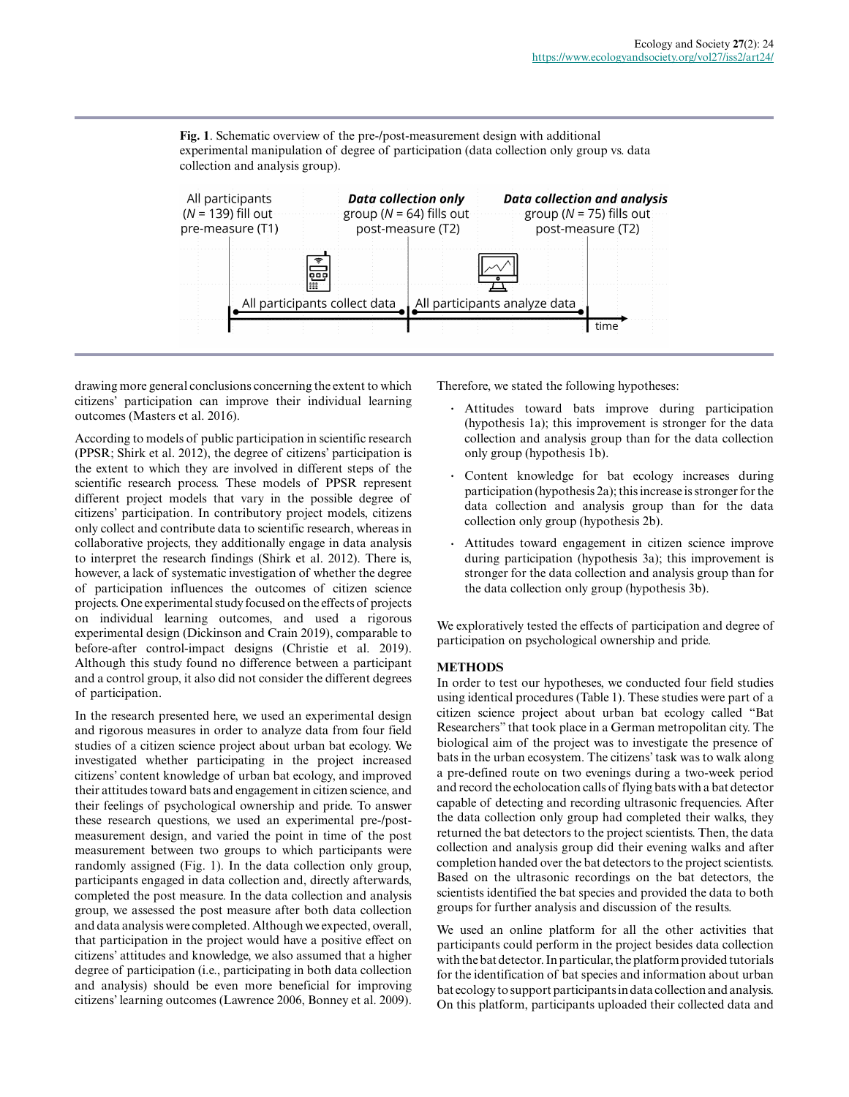

**Fig. 1**. Schematic overview of the pre-/post-measurement design with additional experimental manipulation of degree of participation (data collection only group vs. data collection and analysis group).

drawing more general conclusions concerning the extent to which citizens' participation can improve their individual learning outcomes (Masters et al. 2016).

According to models of public participation in scientific research (PPSR; Shirk et al. 2012), the degree of citizens' participation is the extent to which they are involved in different steps of the scientific research process. These models of PPSR represent different project models that vary in the possible degree of citizens' participation. In contributory project models, citizens only collect and contribute data to scientific research, whereas in collaborative projects, they additionally engage in data analysis to interpret the research findings (Shirk et al. 2012). There is, however, a lack of systematic investigation of whether the degree of participation influences the outcomes of citizen science projects. One experimental study focused on the effects of projects on individual learning outcomes, and used a rigorous experimental design (Dickinson and Crain 2019), comparable to before-after control-impact designs (Christie et al. 2019). Although this study found no difference between a participant and a control group, it also did not consider the different degrees of participation.

In the research presented here, we used an experimental design and rigorous measures in order to analyze data from four field studies of a citizen science project about urban bat ecology. We investigated whether participating in the project increased citizens' content knowledge of urban bat ecology, and improved their attitudes toward bats and engagement in citizen science, and their feelings of psychological ownership and pride. To answer these research questions, we used an experimental pre-/postmeasurement design, and varied the point in time of the post measurement between two groups to which participants were randomly assigned (Fig. 1). In the data collection only group, participants engaged in data collection and, directly afterwards, completed the post measure. In the data collection and analysis group, we assessed the post measure after both data collection and data analysis were completed. Although we expected, overall, that participation in the project would have a positive effect on citizens' attitudes and knowledge, we also assumed that a higher degree of participation (i.e., participating in both data collection and analysis) should be even more beneficial for improving citizens' learning outcomes (Lawrence 2006, Bonney et al. 2009). Therefore, we stated the following hypotheses:

- **.** Attitudes toward bats improve during participation (hypothesis 1a); this improvement is stronger for the data collection and analysis group than for the data collection only group (hypothesis 1b).
- **.** Content knowledge for bat ecology increases during participation (hypothesis 2a); this increase is stronger for the data collection and analysis group than for the data collection only group (hypothesis 2b).
- **.** Attitudes toward engagement in citizen science improve during participation (hypothesis 3a); this improvement is stronger for the data collection and analysis group than for the data collection only group (hypothesis 3b).

We exploratively tested the effects of participation and degree of participation on psychological ownership and pride.

## **METHODS**

In order to test our hypotheses, we conducted four field studies using identical procedures (Table 1). These studies were part of a citizen science project about urban bat ecology called "Bat Researchers" that took place in a German metropolitan city. The biological aim of the project was to investigate the presence of bats in the urban ecosystem. The citizens' task was to walk along a pre-defined route on two evenings during a two-week period and record the echolocation calls of flying bats with a bat detector capable of detecting and recording ultrasonic frequencies. After the data collection only group had completed their walks, they returned the bat detectors to the project scientists. Then, the data collection and analysis group did their evening walks and after completion handed over the bat detectors to the project scientists. Based on the ultrasonic recordings on the bat detectors, the scientists identified the bat species and provided the data to both groups for further analysis and discussion of the results.

We used an online platform for all the other activities that participants could perform in the project besides data collection with the bat detector. In particular, the platform provided tutorials for the identification of bat species and information about urban bat ecology to support participants in data collection and analysis. On this platform, participants uploaded their collected data and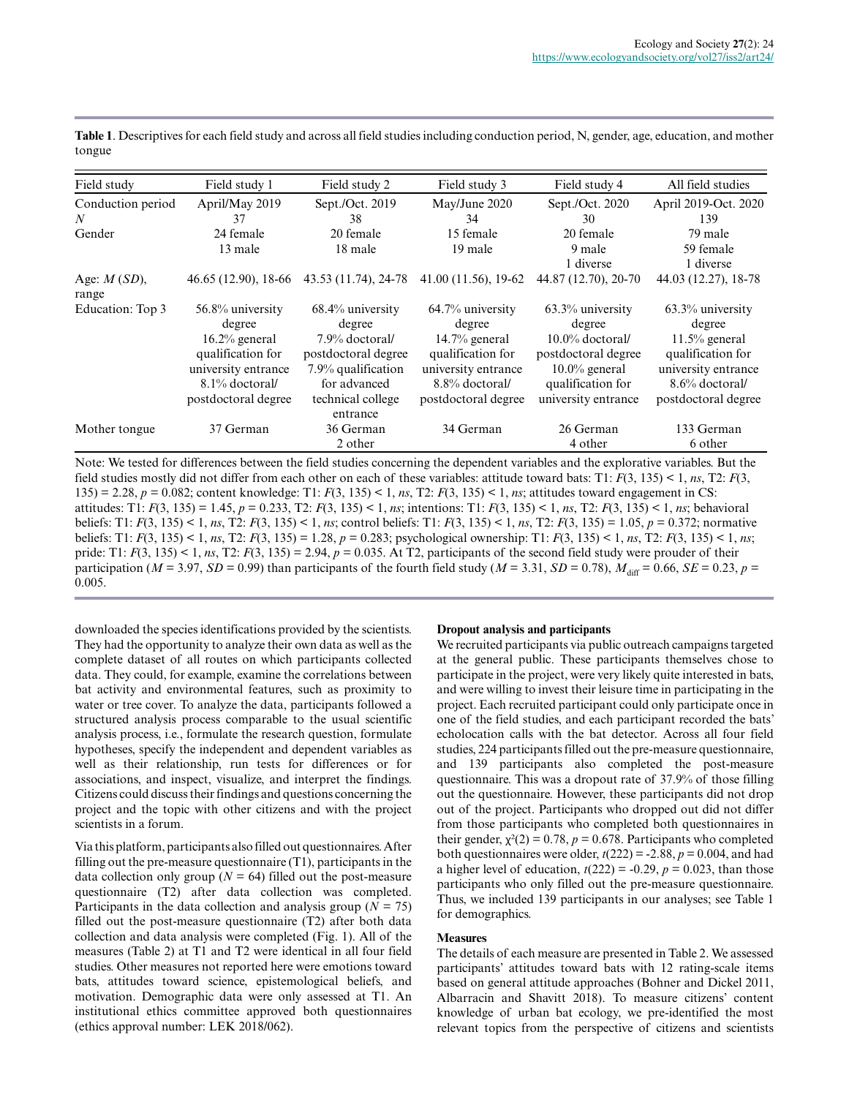| Field study             | Field study 1                                                                                                                       | Field study 2                                                                                                                                    | Field study 3                                                                                                                          | Field study 4                                                                                                                              | All field studies                                                                                                                      |  |
|-------------------------|-------------------------------------------------------------------------------------------------------------------------------------|--------------------------------------------------------------------------------------------------------------------------------------------------|----------------------------------------------------------------------------------------------------------------------------------------|--------------------------------------------------------------------------------------------------------------------------------------------|----------------------------------------------------------------------------------------------------------------------------------------|--|
| Conduction period<br>N  | April/May 2019<br>37                                                                                                                | Sept./Oct. 2019<br>38                                                                                                                            | May/June 2020<br>34                                                                                                                    | Sept./Oct. 2020<br>30                                                                                                                      | April 2019-Oct. 2020<br>139                                                                                                            |  |
| Gender                  | 24 female<br>13 male                                                                                                                | 20 female<br>18 male                                                                                                                             | 15 female<br>19 male                                                                                                                   | 20 female<br>9 male<br>1 diverse                                                                                                           | 79 male<br>59 female<br>1 diverse                                                                                                      |  |
| Age: $M(SD)$ ,<br>range | 46.65 (12.90), 18-66                                                                                                                | 43.53 (11.74), 24-78                                                                                                                             | $41.00(11.56), 19-62$                                                                                                                  | 44.87 (12.70), 20-70                                                                                                                       | 44.03 (12.27), 18-78                                                                                                                   |  |
| Education: Top 3        | 56.8% university<br>degree<br>$16.2\%$ general<br>qualification for<br>university entrance<br>8.1% doctoral/<br>postdoctoral degree | $68.4\%$ university<br>degree<br>7.9% doctoral/<br>postdoctoral degree<br>$7.9\%$ qualification<br>for advanced<br>technical college<br>entrance | $64.7\%$ university<br>degree<br>$14.7\%$ general<br>qualification for<br>university entrance<br>8.8% doctoral/<br>postdoctoral degree | $63.3\%$ university<br>degree<br>$10.0\%$ doctoral/<br>postdoctoral degree<br>$10.0\%$ general<br>qualification for<br>university entrance | $63.3\%$ university<br>degree<br>$11.5\%$ general<br>qualification for<br>university entrance<br>8.6% doctoral/<br>postdoctoral degree |  |
| Mother tongue           | 37 German                                                                                                                           | 36 German<br>2 other                                                                                                                             | 34 German                                                                                                                              | 26 German<br>4 other                                                                                                                       | 133 German<br>6 other                                                                                                                  |  |

**Table 1**. Descriptives for each field study and across all field studies including conduction period, N, gender, age, education, and mother tongue

Note: We tested for differences between the field studies concerning the dependent variables and the explorative variables. But the field studies mostly did not differ from each other on each of these variables: attitude toward bats: T1: *F*(3, 135) < 1, *ns*, T2: *F*(3, 135) = 2.28, *p* = 0.082; content knowledge: T1: *F*(3, 135) < 1, *ns*, T2: *F*(3, 135) < 1, *ns*; attitudes toward engagement in CS: attitudes: T1: *F*(3, 135) = 1.45, *p* = 0.233, T2: *F*(3, 135) < 1, *ns*; intentions: T1: *F*(3, 135) < 1, *ns*, T2: *F*(3, 135) < 1, *ns*; behavioral beliefs: T1: *F*(3, 135) < 1, *ns*, T2: *F*(3, 135) < 1, *ns*; control beliefs: T1: *F*(3, 135) < 1, *ns*, T2: *F*(3, 135) = 1.05, *p* = 0.372; normative beliefs: T1: *F*(3, 135) < 1, *ns*, T2: *F*(3, 135) = 1.28, *p* = 0.283; psychological ownership: T1: *F*(3, 135) < 1, *ns*, T2: *F*(3, 135) < 1, *ns*; pride: T1:  $F(3, 135) < 1$ ,  $n_s$ , T2:  $F(3, 135) = 2.94$ ,  $p = 0.035$ . At T2, participants of the second field study were prouder of their participation ( $M = 3.97$ ,  $SD = 0.99$ ) than participants of the fourth field study ( $M = 3.31$ ,  $SD = 0.78$ ),  $M_{\text{diff}} = 0.66$ ,  $SE = 0.23$ ,  $p =$ 0.005.

downloaded the species identifications provided by the scientists. They had the opportunity to analyze their own data as well as the complete dataset of all routes on which participants collected data. They could, for example, examine the correlations between bat activity and environmental features, such as proximity to water or tree cover. To analyze the data, participants followed a structured analysis process comparable to the usual scientific analysis process, i.e., formulate the research question, formulate hypotheses, specify the independent and dependent variables as well as their relationship, run tests for differences or for associations, and inspect, visualize, and interpret the findings. Citizens could discuss their findings and questions concerning the project and the topic with other citizens and with the project scientists in a forum.

Via this platform, participants also filled out questionnaires. After filling out the pre-measure questionnaire (T1), participants in the data collection only group ( $N = 64$ ) filled out the post-measure questionnaire (T2) after data collection was completed. Participants in the data collection and analysis group ( $N = 75$ ) filled out the post-measure questionnaire (T2) after both data collection and data analysis were completed (Fig. 1). All of the measures (Table 2) at T1 and T2 were identical in all four field studies. Other measures not reported here were emotions toward bats, attitudes toward science, epistemological beliefs, and motivation. Demographic data were only assessed at T1. An institutional ethics committee approved both questionnaires (ethics approval number: LEK 2018/062).

## **Dropout analysis and participants**

We recruited participants via public outreach campaigns targeted at the general public. These participants themselves chose to participate in the project, were very likely quite interested in bats, and were willing to invest their leisure time in participating in the project. Each recruited participant could only participate once in one of the field studies, and each participant recorded the bats' echolocation calls with the bat detector. Across all four field studies, 224 participants filled out the pre-measure questionnaire, and 139 participants also completed the post-measure questionnaire. This was a dropout rate of 37.9% of those filling out the questionnaire. However, these participants did not drop out of the project. Participants who dropped out did not differ from those participants who completed both questionnaires in their gender,  $\chi^2(2) = 0.78$ ,  $p = 0.678$ . Participants who completed both questionnaires were older,  $t(222) = -2.88$ ,  $p = 0.004$ , and had a higher level of education,  $t(222) = -0.29$ ,  $p = 0.023$ , than those participants who only filled out the pre-measure questionnaire. Thus, we included 139 participants in our analyses; see Table 1 for demographics.

#### **Measures**

The details of each measure are presented in Table 2. We assessed participants' attitudes toward bats with 12 rating-scale items based on general attitude approaches (Bohner and Dickel 2011, Albarracin and Shavitt 2018). To measure citizens' content knowledge of urban bat ecology, we pre-identified the most relevant topics from the perspective of citizens and scientists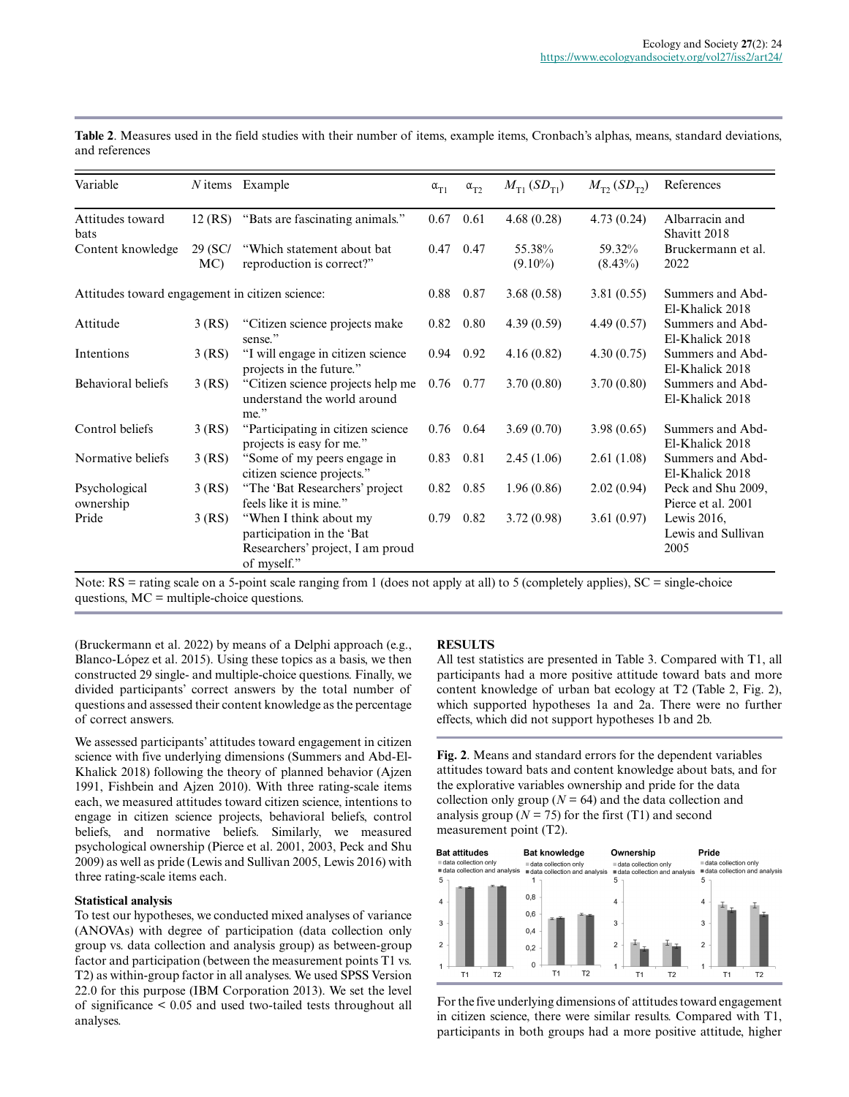| Variable                                        |                | $N$ items Example                                                                                      | $\alpha_{T1}$ | $\alpha_{T2}$ | $M_{\text{T1}} (SD_{\text{T1}})$ | $M_{\text{T2}} (SD_{\text{T2}})$ | References                                   |  |
|-------------------------------------------------|----------------|--------------------------------------------------------------------------------------------------------|---------------|---------------|----------------------------------|----------------------------------|----------------------------------------------|--|
| Attitudes toward<br>bats                        | $12$ (RS)      | "Bats are fascinating animals."                                                                        | 0.67          | 0.61          | 4.68(0.28)                       | 4.73(0.24)                       | Albarracin and<br>Shavitt 2018               |  |
| Content knowledge                               | 29 (SC/<br>MC) | "Which statement about bat<br>reproduction is correct?"                                                | 0.47          | 0.47          | 55.38%<br>$(9.10\%)$             | 59.32%<br>$(8.43\%)$             | Bruckermann et al.<br>2022                   |  |
| Attitudes toward engagement in citizen science: |                |                                                                                                        | 0.88          | 0.87          | 3.68(0.58)                       | 3.81(0.55)                       | Summers and Abd-<br>El-Khalick 2018          |  |
| Attitude                                        | 3(RS)          | "Citizen science projects make<br>sense."                                                              | 0.82          | 0.80          | 4.39(0.59)                       | 4.49(0.57)                       | Summers and Abd-<br>El-Khalick 2018          |  |
| Intentions                                      | 3(RS)          | "I will engage in citizen science<br>projects in the future."                                          | 0.94          | 0.92          | 4.16(0.82)                       | 4.30(0.75)                       | Summers and Abd-<br>El-Khalick 2018          |  |
| Behavioral beliefs                              | 3(RS)          | "Citizen science projects help me<br>understand the world around<br>me."                               |               | $0.76$ 0.77   | 3.70(0.80)                       | 3.70(0.80)                       | Summers and Abd-<br>El-Khalick 2018          |  |
| Control beliefs                                 | 3(RS)          | "Participating in citizen science"<br>projects is easy for me."                                        | 0.76          | 0.64          | 3.69(0.70)                       | 3.98(0.65)                       | Summers and Abd-<br>El-Khalick 2018          |  |
| Normative beliefs                               | 3(RS)          | "Some of my peers engage in<br>citizen science projects."                                              | 0.83          | 0.81          | 2.45(1.06)                       | 2.61(1.08)                       | Summers and Abd-<br>El-Khalick 2018          |  |
| Psychological<br>ownership                      | 3(RS)          | "The 'Bat Researchers' project<br>feels like it is mine."                                              | 0.82          | 0.85          | 1.96(0.86)                       | 2.02(0.94)                       | Peck and Shu 2009,<br>Pierce et al. 2001     |  |
| Pride                                           | 3(RS)          | "When I think about my<br>participation in the 'Bat<br>Researchers' project, I am proud<br>of myself." |               | $0.79$ 0.82   | 3.72(0.98)                       | 3.61(0.97)                       | Lewis $2016$ ,<br>Lewis and Sullivan<br>2005 |  |

**Table 2**. Measures used in the field studies with their number of items, example items, Cronbach's alphas, means, standard deviations, and references

Note:  $RS =$  rating scale on a 5-point scale ranging from 1 (does not apply at all) to 5 (completely applies),  $SC =$  single-choice questions, MC = multiple-choice questions.

(Bruckermann et al. 2022) by means of a Delphi approach (e.g., Blanco-López et al. 2015). Using these topics as a basis, we then constructed 29 single- and multiple-choice questions. Finally, we divided participants' correct answers by the total number of questions and assessed their content knowledge as the percentage of correct answers.

We assessed participants' attitudes toward engagement in citizen science with five underlying dimensions (Summers and Abd‐El‐ Khalick 2018) following the theory of planned behavior (Ajzen 1991, Fishbein and Ajzen 2010). With three rating-scale items each, we measured attitudes toward citizen science, intentions to engage in citizen science projects, behavioral beliefs, control beliefs, and normative beliefs. Similarly, we measured psychological ownership (Pierce et al. 2001, 2003, Peck and Shu 2009) as well as pride (Lewis and Sullivan 2005, Lewis 2016) with three rating-scale items each.

## **Statistical analysis**

To test our hypotheses, we conducted mixed analyses of variance (ANOVAs) with degree of participation (data collection only group vs. data collection and analysis group) as between-group factor and participation (between the measurement points T1 vs. T2) as within-group factor in all analyses. We used SPSS Version 22.0 for this purpose (IBM Corporation 2013). We set the level of significance < 0.05 and used two-tailed tests throughout all analyses.

## **RESULTS**

All test statistics are presented in Table 3. Compared with T1, all participants had a more positive attitude toward bats and more content knowledge of urban bat ecology at T2 (Table 2, Fig. 2), which supported hypotheses 1a and 2a. There were no further effects, which did not support hypotheses 1b and 2b.

**Fig. 2**. Means and standard errors for the dependent variables attitudes toward bats and content knowledge about bats, and for the explorative variables ownership and pride for the data collection only group ( $N = 64$ ) and the data collection and analysis group ( $N = 75$ ) for the first (T1) and second measurement point (T2).



For the five underlying dimensions of attitudes toward engagement in citizen science, there were similar results. Compared with T1, participants in both groups had a more positive attitude, higher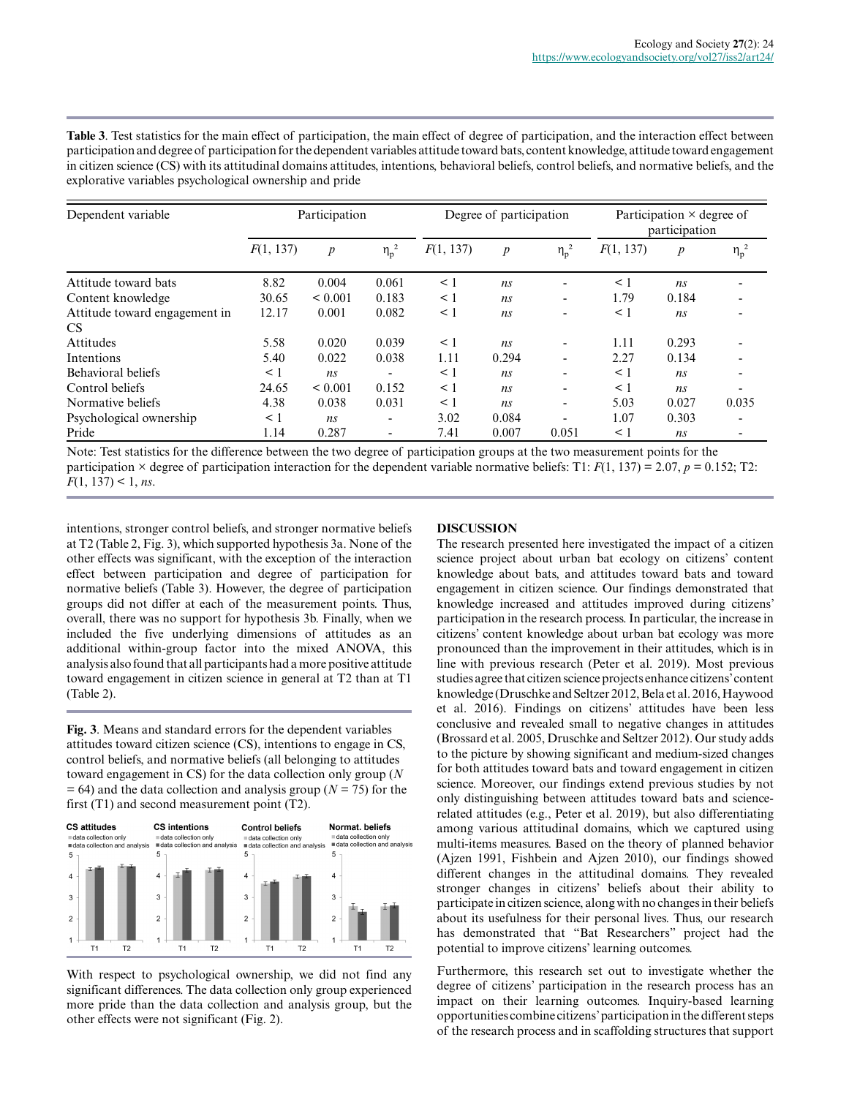**Table 3**. Test statistics for the main effect of participation, the main effect of degree of participation, and the interaction effect between participation and degree of participation for the dependent variables attitude toward bats, content knowledge, attitude toward engagement in citizen science (CS) with its attitudinal domains attitudes, intentions, behavioral beliefs, control beliefs, and normative beliefs, and the explorative variables psychological ownership and pride

| Dependent variable            | Participation |                  | Degree of participation  |           |                  | Participation $\times$ degree of<br>participation |           |                  |            |
|-------------------------------|---------------|------------------|--------------------------|-----------|------------------|---------------------------------------------------|-----------|------------------|------------|
|                               | F(1, 137)     | $\boldsymbol{p}$ | $\eta_p^2$               | F(1, 137) | $\boldsymbol{p}$ | $\eta_p^2$                                        | F(1, 137) | $\boldsymbol{p}$ | $\eta_p^2$ |
| Attitude toward bats          | 8.82          | 0.004            | 0.061                    | $\leq$ 1  | ns               |                                                   | $\leq$ 1  | ns               |            |
| Content knowledge             | 30.65         | ${}_{0.001}$     | 0.183                    | $\leq$ 1  | ns               | ۰                                                 | 1.79      | 0.184            |            |
| Attitude toward engagement in | 12.17         | 0.001            | 0.082                    | $\leq 1$  | ns               |                                                   | $\leq 1$  | ns               |            |
| <b>CS</b>                     |               |                  |                          |           |                  |                                                   |           |                  |            |
| Attitudes                     | 5.58          | 0.020            | 0.039                    | $\leq 1$  | n <sub>S</sub>   | ۰                                                 | 1.11      | 0.293            |            |
| Intentions                    | 5.40          | 0.022            | 0.038                    | 1.11      | 0.294            | ۰                                                 | 2.27      | 0.134            |            |
| Behavioral beliefs            | $\leq 1$      | ns               | $\overline{\phantom{a}}$ | $\leq$ 1  | n <sub>s</sub>   |                                                   | $\leq 1$  | ns               |            |
| Control beliefs               | 24.65         | ${}_{0.001}$     | 0.152                    | $\leq$ 1  | ns               |                                                   | $\leq$ 1  | ns               |            |
| Normative beliefs             | 4.38          | 0.038            | 0.031                    | $<$ 1     | n <sub>s</sub>   | ۰                                                 | 5.03      | 0.027            | 0.035      |
| Psychological ownership       | $\leq 1$      | ns               | ٠                        | 3.02      | 0.084            |                                                   | 1.07      | 0.303            |            |
| Pride                         | 1.14          | 0.287            | ٠                        | 7.41      | 0.007            | 0.051                                             | $\leq 1$  | ns               |            |

Note: Test statistics for the difference between the two degree of participation groups at the two measurement points for the participation  $\times$  degree of participation interaction for the dependent variable normative beliefs: T1:  $F(1, 137) = 2.07$ ,  $p = 0.152$ ; T2:  $F(1, 137) < 1$ , *ns*.

intentions, stronger control beliefs, and stronger normative beliefs at T2 (Table 2, Fig. 3), which supported hypothesis 3a. None of the other effects was significant, with the exception of the interaction effect between participation and degree of participation for normative beliefs (Table 3). However, the degree of participation groups did not differ at each of the measurement points. Thus, overall, there was no support for hypothesis 3b. Finally, when we included the five underlying dimensions of attitudes as an additional within-group factor into the mixed ANOVA, this analysis also found that all participants had a more positive attitude toward engagement in citizen science in general at T2 than at T1 (Table 2).

**Fig. 3**. Means and standard errors for the dependent variables attitudes toward citizen science (CS), intentions to engage in CS, control beliefs, and normative beliefs (all belonging to attitudes toward engagement in CS) for the data collection only group (*N*  $= 64$ ) and the data collection and analysis group ( $N = 75$ ) for the first (T1) and second measurement point (T2).



With respect to psychological ownership, we did not find any significant differences. The data collection only group experienced more pride than the data collection and analysis group, but the other effects were not significant (Fig. 2).

## **DISCUSSION**

The research presented here investigated the impact of a citizen science project about urban bat ecology on citizens' content knowledge about bats, and attitudes toward bats and toward engagement in citizen science. Our findings demonstrated that knowledge increased and attitudes improved during citizens' participation in the research process. In particular, the increase in citizens' content knowledge about urban bat ecology was more pronounced than the improvement in their attitudes, which is in line with previous research (Peter et al. 2019). Most previous studies agree that citizen science projects enhance citizens' content knowledge (Druschke and Seltzer 2012, Bela et al. 2016, Haywood et al. 2016). Findings on citizens' attitudes have been less conclusive and revealed small to negative changes in attitudes (Brossard et al. 2005, Druschke and Seltzer 2012). Our study adds to the picture by showing significant and medium-sized changes for both attitudes toward bats and toward engagement in citizen science. Moreover, our findings extend previous studies by not only distinguishing between attitudes toward bats and sciencerelated attitudes (e.g., Peter et al. 2019), but also differentiating among various attitudinal domains, which we captured using multi-items measures. Based on the theory of planned behavior (Ajzen 1991, Fishbein and Ajzen 2010), our findings showed different changes in the attitudinal domains. They revealed stronger changes in citizens' beliefs about their ability to participate in citizen science, along with no changes in their beliefs about its usefulness for their personal lives. Thus, our research has demonstrated that "Bat Researchers" project had the potential to improve citizens' learning outcomes.

Furthermore, this research set out to investigate whether the degree of citizens' participation in the research process has an impact on their learning outcomes. Inquiry-based learning opportunities combine citizens' participation in the different steps of the research process and in scaffolding structures that support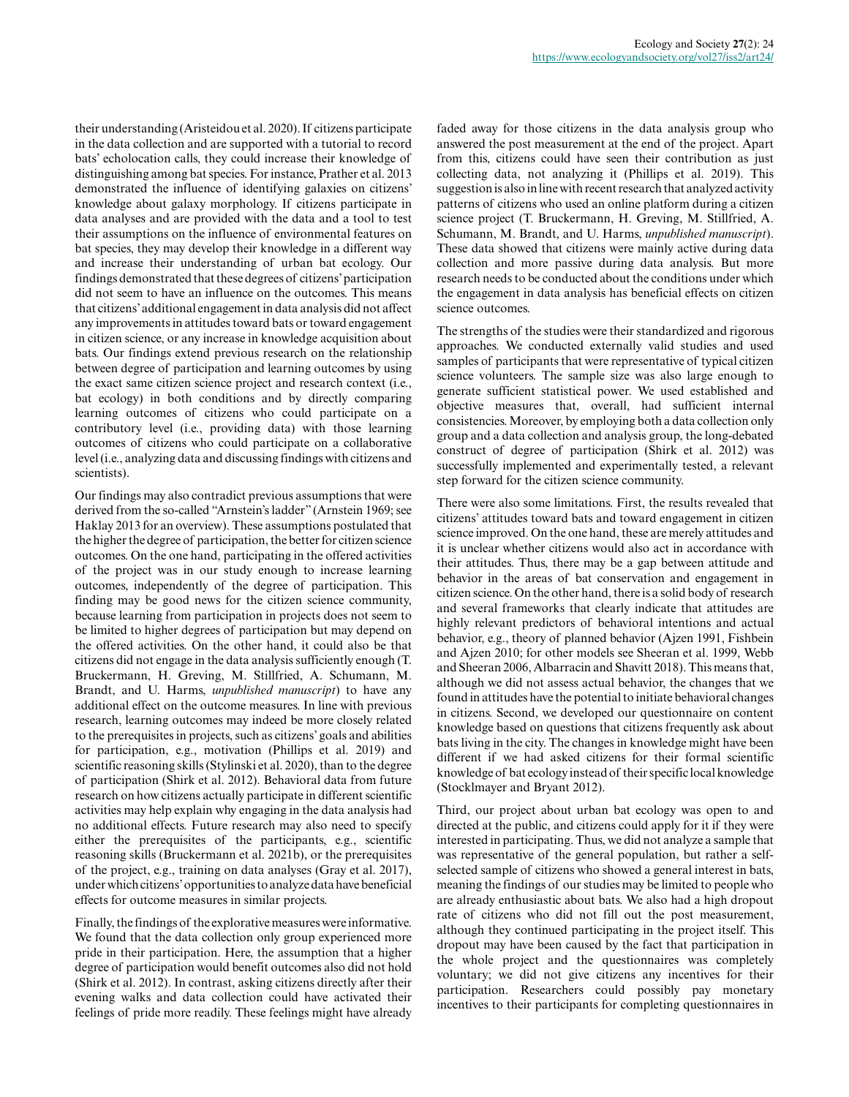their understanding (Aristeidou et al. 2020). If citizens participate in the data collection and are supported with a tutorial to record bats' echolocation calls, they could increase their knowledge of distinguishing among bat species. For instance, Prather et al. 2013 demonstrated the influence of identifying galaxies on citizens' knowledge about galaxy morphology. If citizens participate in data analyses and are provided with the data and a tool to test their assumptions on the influence of environmental features on bat species, they may develop their knowledge in a different way and increase their understanding of urban bat ecology. Our findings demonstrated that these degrees of citizens' participation did not seem to have an influence on the outcomes. This means that citizens' additional engagement in data analysis did not affect any improvements in attitudes toward bats or toward engagement in citizen science, or any increase in knowledge acquisition about bats. Our findings extend previous research on the relationship between degree of participation and learning outcomes by using the exact same citizen science project and research context (i.e., bat ecology) in both conditions and by directly comparing learning outcomes of citizens who could participate on a contributory level (i.e., providing data) with those learning outcomes of citizens who could participate on a collaborative level (i.e., analyzing data and discussing findings with citizens and scientists).

Our findings may also contradict previous assumptions that were derived from the so-called "Arnstein's ladder" (Arnstein 1969; see Haklay 2013 for an overview). These assumptions postulated that the higher the degree of participation, the better for citizen science outcomes. On the one hand, participating in the offered activities of the project was in our study enough to increase learning outcomes, independently of the degree of participation. This finding may be good news for the citizen science community, because learning from participation in projects does not seem to be limited to higher degrees of participation but may depend on the offered activities. On the other hand, it could also be that citizens did not engage in the data analysis sufficiently enough (T. Bruckermann, H. Greving, M. Stillfried, A. Schumann, M. Brandt, and U. Harms, *unpublished manuscript*) to have any additional effect on the outcome measures. In line with previous research, learning outcomes may indeed be more closely related to the prerequisites in projects, such as citizens' goals and abilities for participation, e.g., motivation (Phillips et al. 2019) and scientific reasoning skills (Stylinski et al. 2020), than to the degree of participation (Shirk et al. 2012). Behavioral data from future research on how citizens actually participate in different scientific activities may help explain why engaging in the data analysis had no additional effects. Future research may also need to specify either the prerequisites of the participants, e.g., scientific reasoning skills (Bruckermann et al. 2021b), or the prerequisites of the project, e.g., training on data analyses (Gray et al. 2017), under which citizens' opportunities to analyze data have beneficial effects for outcome measures in similar projects.

Finally, the findings of the explorative measures were informative. We found that the data collection only group experienced more pride in their participation. Here, the assumption that a higher degree of participation would benefit outcomes also did not hold (Shirk et al. 2012). In contrast, asking citizens directly after their evening walks and data collection could have activated their feelings of pride more readily. These feelings might have already faded away for those citizens in the data analysis group who answered the post measurement at the end of the project. Apart from this, citizens could have seen their contribution as just collecting data, not analyzing it (Phillips et al. 2019). This suggestion is also in line with recent research that analyzed activity patterns of citizens who used an online platform during a citizen science project (T. Bruckermann, H. Greving, M. Stillfried, A. Schumann, M. Brandt, and U. Harms, *unpublished manuscript*). These data showed that citizens were mainly active during data collection and more passive during data analysis. But more research needs to be conducted about the conditions under which the engagement in data analysis has beneficial effects on citizen science outcomes.

The strengths of the studies were their standardized and rigorous approaches. We conducted externally valid studies and used samples of participants that were representative of typical citizen science volunteers. The sample size was also large enough to generate sufficient statistical power. We used established and objective measures that, overall, had sufficient internal consistencies. Moreover, by employing both a data collection only group and a data collection and analysis group, the long-debated construct of degree of participation (Shirk et al. 2012) was successfully implemented and experimentally tested, a relevant step forward for the citizen science community.

There were also some limitations. First, the results revealed that citizens' attitudes toward bats and toward engagement in citizen science improved. On the one hand, these are merely attitudes and it is unclear whether citizens would also act in accordance with their attitudes. Thus, there may be a gap between attitude and behavior in the areas of bat conservation and engagement in citizen science. On the other hand, there is a solid body of research and several frameworks that clearly indicate that attitudes are highly relevant predictors of behavioral intentions and actual behavior, e.g., theory of planned behavior (Ajzen 1991, Fishbein and Ajzen 2010; for other models see Sheeran et al. 1999, Webb and Sheeran 2006, Albarracin and Shavitt 2018). This means that, although we did not assess actual behavior, the changes that we found in attitudes have the potential to initiate behavioral changes in citizens. Second, we developed our questionnaire on content knowledge based on questions that citizens frequently ask about bats living in the city. The changes in knowledge might have been different if we had asked citizens for their formal scientific knowledge of bat ecology instead of their specific local knowledge (Stocklmayer and Bryant 2012).

Third, our project about urban bat ecology was open to and directed at the public, and citizens could apply for it if they were interested in participating. Thus, we did not analyze a sample that was representative of the general population, but rather a selfselected sample of citizens who showed a general interest in bats, meaning the findings of our studies may be limited to people who are already enthusiastic about bats. We also had a high dropout rate of citizens who did not fill out the post measurement, although they continued participating in the project itself. This dropout may have been caused by the fact that participation in the whole project and the questionnaires was completely voluntary; we did not give citizens any incentives for their participation. Researchers could possibly pay monetary incentives to their participants for completing questionnaires in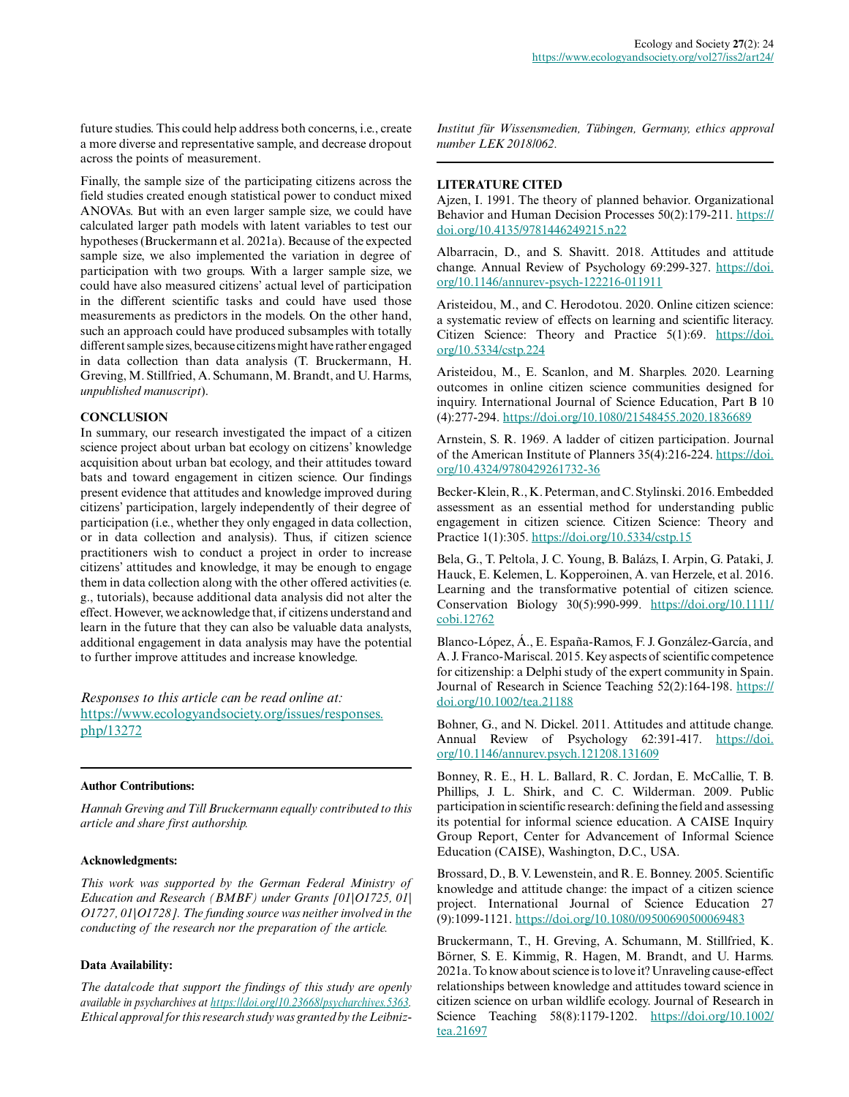future studies. This could help address both concerns, i.e., create a more diverse and representative sample, and decrease dropout across the points of measurement.

Finally, the sample size of the participating citizens across the field studies created enough statistical power to conduct mixed ANOVAs. But with an even larger sample size, we could have calculated larger path models with latent variables to test our hypotheses (Bruckermann et al. 2021a). Because of the expected sample size, we also implemented the variation in degree of participation with two groups. With a larger sample size, we could have also measured citizens' actual level of participation in the different scientific tasks and could have used those measurements as predictors in the models. On the other hand, such an approach could have produced subsamples with totally different sample sizes, because citizens might have rather engaged in data collection than data analysis (T. Bruckermann, H. Greving, M. Stillfried, A. Schumann, M. Brandt, and U. Harms, *unpublished manuscript*).

### **CONCLUSION**

In summary, our research investigated the impact of a citizen science project about urban bat ecology on citizens' knowledge acquisition about urban bat ecology, and their attitudes toward bats and toward engagement in citizen science. Our findings present evidence that attitudes and knowledge improved during citizens' participation, largely independently of their degree of participation (i.e., whether they only engaged in data collection, or in data collection and analysis). Thus, if citizen science practitioners wish to conduct a project in order to increase citizens' attitudes and knowledge, it may be enough to engage them in data collection along with the other offered activities (e. g., tutorials), because additional data analysis did not alter the effect. However, we acknowledge that, if citizens understand and learn in the future that they can also be valuable data analysts, additional engagement in data analysis may have the potential to further improve attitudes and increase knowledge.

*Responses to this article can be read online at:* [https://www.ecologyandsociety.org/issues/responses.](https://www.ecologyandsociety.org/issues/responses.php/13272) [php/13272](https://www.ecologyandsociety.org/issues/responses.php/13272)

#### **Author Contributions:**

*Hannah Greving and Till Bruckermann equally contributed to this article and share first authorship.*

#### **Acknowledgments:**

*This work was supported by the German Federal Ministry of Education and Research (BMBF) under Grants [01|O1725, 01| O1727, 01|O1728]. The funding source was neither involved in the conducting of the research nor the preparation of the article.*

#### **Data Availability:**

*The data/code that support the findings of this study are openly available in psycharchives at [https://doi.org/10.23668/psycharchives.5363.](https://doi.org/10.23668/psycharchives.5363) Ethical approval for this research study was granted by the Leibniz-* *Institut für Wissensmedien, Tübingen, Germany, ethics approval number LEK 2018/062.*

#### **LITERATURE CITED**

Ajzen, I. 1991. The theory of planned behavior. Organizational Behavior and Human Decision Processes 50(2):179-211. [https://](https://doi.org/10.4135/9781446249215.n22) [doi.org/10.4135/9781446249215.n22](https://doi.org/10.4135/9781446249215.n22) 

Albarracin, D., and S. Shavitt. 2018. Attitudes and attitude change. Annual Review of Psychology 69:299-327. [https://doi.](https://doi.org/10.1146/annurev-psych-122216-011911) [org/10.1146/annurev-psych-122216-011911](https://doi.org/10.1146/annurev-psych-122216-011911) 

Aristeidou, M., and C. Herodotou. 2020. Online citizen science: a systematic review of effects on learning and scientific literacy. Citizen Science: Theory and Practice 5(1):69. [https://doi.](https://doi.org/10.5334/cstp.224) [org/10.5334/cstp.224](https://doi.org/10.5334/cstp.224) 

Aristeidou, M., E. Scanlon, and M. Sharples. 2020. Learning outcomes in online citizen science communities designed for inquiry. International Journal of Science Education, Part B 10 (4):277-294. <https://doi.org/10.1080/21548455.2020.1836689>

Arnstein, S. R. 1969. A ladder of citizen participation. Journal of the American Institute of Planners 35(4):216-224. [https://doi.](https://doi.org/10.4324/9780429261732-36) [org/10.4324/9780429261732-36](https://doi.org/10.4324/9780429261732-36) 

Becker-Klein, R., K. Peterman, and C. Stylinski. 2016. Embedded assessment as an essential method for understanding public engagement in citizen science. Citizen Science: Theory and Practice 1(1):305.<https://doi.org/10.5334/cstp.15>

Bela, G., T. Peltola, J. C. Young, B. Balázs, I. Arpin, G. Pataki, J. Hauck, E. Kelemen, L. Kopperoinen, A. van Herzele, et al. 2016. Learning and the transformative potential of citizen science. Conservation Biology 30(5):990-999. [https://doi.org/10.1111/](https://doi.org/10.1111/cobi.12762) [cobi.12762](https://doi.org/10.1111/cobi.12762)

Blanco-López, Á., E. España-Ramos, F. J. González-García, and A. J. Franco-Mariscal. 2015. Key aspects of scientific competence for citizenship: a Delphi study of the expert community in Spain. Journal of Research in Science Teaching 52(2):164-198. [https://](https://doi.org/10.1002/tea.21188) [doi.org/10.1002/tea.21188](https://doi.org/10.1002/tea.21188)

Bohner, G., and N. Dickel. 2011. Attitudes and attitude change. Annual Review of Psychology 62:391-417. [https://doi.](https://doi.org/10.1146/annurev.psych.121208.131609) [org/10.1146/annurev.psych.121208.131609](https://doi.org/10.1146/annurev.psych.121208.131609)

Bonney, R. E., H. L. Ballard, R. C. Jordan, E. McCallie, T. B. Phillips, J. L. Shirk, and C. C. Wilderman. 2009. Public participation in scientific research: defining the field and assessing its potential for informal science education. A CAISE Inquiry Group Report, Center for Advancement of Informal Science Education (CAISE), Washington, D.C., USA.

Brossard, D., B. V. Lewenstein, and R. E. Bonney. 2005. Scientific knowledge and attitude change: the impact of a citizen science project. International Journal of Science Education 27 (9):1099-1121. <https://doi.org/10.1080/09500690500069483>

Bruckermann, T., H. Greving, A. Schumann, M. Stillfried, K. Börner, S. E. Kimmig, R. Hagen, M. Brandt, and U. Harms. 2021a. To know about science is to love it? Unraveling cause-effect relationships between knowledge and attitudes toward science in citizen science on urban wildlife ecology. Journal of Research in Science Teaching 58(8):1179-1202. [https://doi.org/10.1002/](https://doi.org/10.1002/tea.21697) [tea.21697](https://doi.org/10.1002/tea.21697)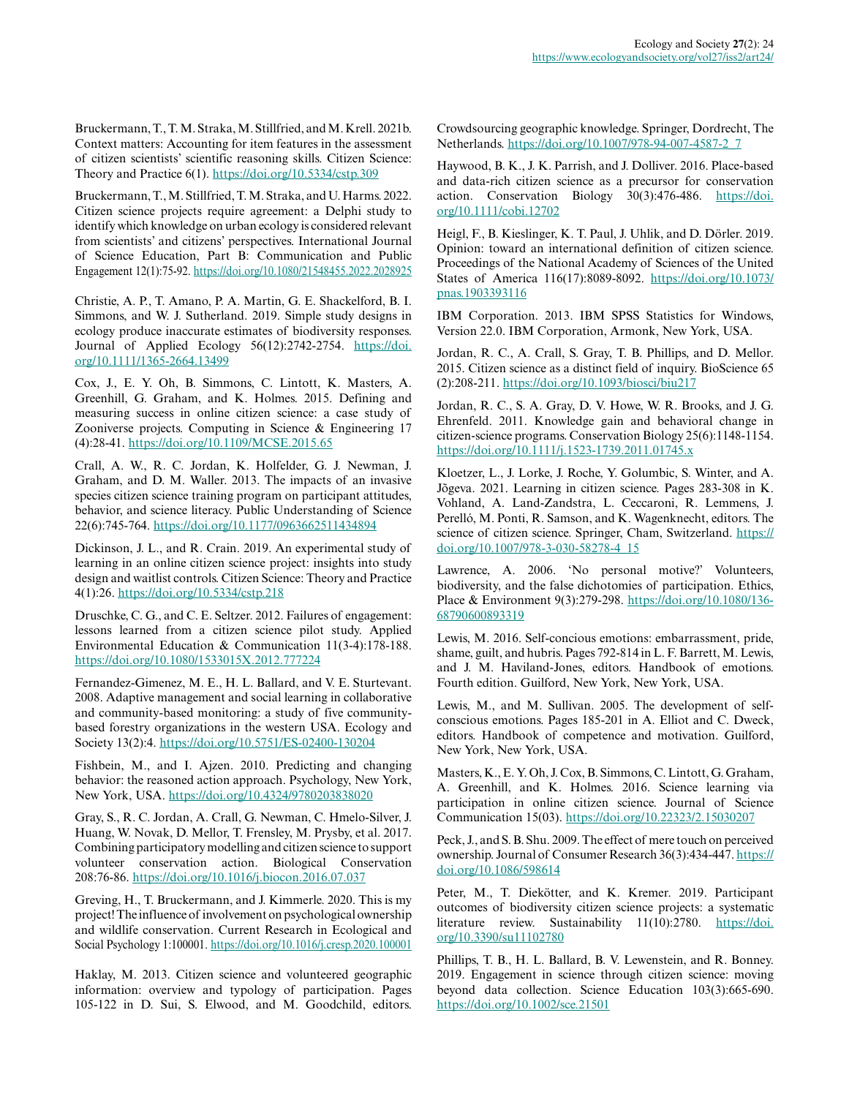Bruckermann, T., T. M. Straka, M. Stillfried, and M. Krell. 2021b. Context matters: Accounting for item features in the assessment of citizen scientists' scientific reasoning skills. Citizen Science: Theory and Practice 6(1).<https://doi.org/10.5334/cstp.309>

Bruckermann, T., M. Stillfried, T. M. Straka, and U. Harms. 2022. Citizen science projects require agreement: a Delphi study to identify which knowledge on urban ecology is considered relevant from scientists' and citizens' perspectives. International Journal of Science Education, Part B: Communication and Public Engagement 12(1):75-92. <https://doi.org/10.1080/21548455.2022.2028925>

Christie, A. P., T. Amano, P. A. Martin, G. E. Shackelford, B. I. Simmons, and W. J. Sutherland. 2019. Simple study designs in ecology produce inaccurate estimates of biodiversity responses. Journal of Applied Ecology 56(12):2742-2754. [https://doi.](https://doi.org/10.1111/1365-2664.13499) [org/10.1111/1365-2664.13499](https://doi.org/10.1111/1365-2664.13499)

Cox, J., E. Y. Oh, B. Simmons, C. Lintott, K. Masters, A. Greenhill, G. Graham, and K. Holmes. 2015. Defining and measuring success in online citizen science: a case study of Zooniverse projects. Computing in Science & Engineering 17 (4):28-41. <https://doi.org/10.1109/MCSE.2015.65>

Crall, A. W., R. C. Jordan, K. Holfelder, G. J. Newman, J. Graham, and D. M. Waller. 2013. The impacts of an invasive species citizen science training program on participant attitudes, behavior, and science literacy. Public Understanding of Science 22(6):745-764. <https://doi.org/10.1177/0963662511434894>

Dickinson, J. L., and R. Crain. 2019. An experimental study of learning in an online citizen science project: insights into study design and waitlist controls. Citizen Science: Theory and Practice 4(1):26.<https://doi.org/10.5334/cstp.218>

Druschke, C. G., and C. E. Seltzer. 2012. Failures of engagement: lessons learned from a citizen science pilot study. Applied Environmental Education & Communication 11(3-4):178-188. <https://doi.org/10.1080/1533015X.2012.777224>

Fernandez-Gimenez, M. E., H. L. Ballard, and V. E. Sturtevant. 2008. Adaptive management and social learning in collaborative and community-based monitoring: a study of five communitybased forestry organizations in the western USA. Ecology and Society 13(2):4.<https://doi.org/10.5751/ES-02400-130204>

Fishbein, M., and I. Ajzen. 2010. Predicting and changing behavior: the reasoned action approach. Psychology, New York, New York, USA. <https://doi.org/10.4324/9780203838020>

Gray, S., R. C. Jordan, A. Crall, G. Newman, C. Hmelo-Silver, J. Huang, W. Novak, D. Mellor, T. Frensley, M. Prysby, et al. 2017. Combining participatory modelling and citizen science to support volunteer conservation action. Biological Conservation 208:76-86. <https://doi.org/10.1016/j.biocon.2016.07.037>

Greving, H., T. Bruckermann, and J. Kimmerle. 2020. This is my project! The influence of involvement on psychological ownership and wildlife conservation. Current Research in Ecological and Social Psychology 1:100001. <https://doi.org/10.1016/j.cresp.2020.100001>

Haklay, M. 2013. Citizen science and volunteered geographic information: overview and typology of participation. Pages 105-122 in D. Sui, S. Elwood, and M. Goodchild, editors. Crowdsourcing geographic knowledge. Springer, Dordrecht, The Netherlands. [https://doi.org/10.1007/978-94-007-4587-2\\_7](https://doi.org/10.1007/978-94-007-4587-2_7)

Haywood, B. K., J. K. Parrish, and J. Dolliver. 2016. Place-based and data-rich citizen science as a precursor for conservation action. Conservation Biology 30(3):476-486. [https://doi.](https://doi.org/10.1111/cobi.12702) [org/10.1111/cobi.12702](https://doi.org/10.1111/cobi.12702)

Heigl, F., B. Kieslinger, K. T. Paul, J. Uhlik, and D. Dörler. 2019. Opinion: toward an international definition of citizen science. Proceedings of the National Academy of Sciences of the United States of America 116(17):8089-8092. [https://doi.org/10.1073/](https://doi.org/10.1073/pnas.1903393116) [pnas.1903393116](https://doi.org/10.1073/pnas.1903393116) 

IBM Corporation. 2013. IBM SPSS Statistics for Windows, Version 22.0. IBM Corporation, Armonk, New York, USA.

Jordan, R. C., A. Crall, S. Gray, T. B. Phillips, and D. Mellor. 2015. Citizen science as a distinct field of inquiry. BioScience 65 (2):208-211. <https://doi.org/10.1093/biosci/biu217>

Jordan, R. C., S. A. Gray, D. V. Howe, W. R. Brooks, and J. G. Ehrenfeld. 2011. Knowledge gain and behavioral change in citizen-science programs. Conservation Biology 25(6):1148-1154. <https://doi.org/10.1111/j.1523-1739.2011.01745.x>

Kloetzer, L., J. Lorke, J. Roche, Y. Golumbic, S. Winter, and A. Jõgeva. 2021. Learning in citizen science. Pages 283-308 in K. Vohland, A. Land-Zandstra, L. Ceccaroni, R. Lemmens, J. Perelló, M. Ponti, R. Samson, and K. Wagenknecht, editors. The science of citizen science. Springer, Cham, Switzerland. [https://](https://doi.org/10.1007/978-3-030-58278-4_15) [doi.org/10.1007/978-3-030-58278-4\\_15](https://doi.org/10.1007/978-3-030-58278-4_15) 

Lawrence, A. 2006. 'No personal motive?' Volunteers, biodiversity, and the false dichotomies of participation. Ethics, Place & Environment 9(3):279-298. [https://doi.org/10.1080/136](https://doi.org/10.1080/13668790600893319) [68790600893319](https://doi.org/10.1080/13668790600893319)

Lewis, M. 2016. Self-concious emotions: embarrassment, pride, shame, guilt, and hubris. Pages 792-814 in L. F. Barrett, M. Lewis, and J. M. Haviland-Jones, editors. Handbook of emotions. Fourth edition. Guilford, New York, New York, USA.

Lewis, M., and M. Sullivan. 2005. The development of selfconscious emotions. Pages 185-201 in A. Elliot and C. Dweck, editors. Handbook of competence and motivation. Guilford, New York, New York, USA.

Masters, K., E. Y. Oh, J. Cox, B. Simmons, C. Lintott, G. Graham, A. Greenhill, and K. Holmes. 2016. Science learning via participation in online citizen science. Journal of Science Communication 15(03). <https://doi.org/10.22323/2.15030207>

Peck, J., and S. B. Shu. 2009. The effect of mere touch on perceived ownership. Journal of Consumer Research 36(3):434-447. [https://](https://doi.org/10.1086/598614) [doi.org/10.1086/598614](https://doi.org/10.1086/598614)

Peter, M., T. Diekötter, and K. Kremer. 2019. Participant outcomes of biodiversity citizen science projects: a systematic literature review. Sustainability 11(10):2780. [https://doi.](https://doi.org/10.3390/su11102780) [org/10.3390/su11102780](https://doi.org/10.3390/su11102780) 

Phillips, T. B., H. L. Ballard, B. V. Lewenstein, and R. Bonney. 2019. Engagement in science through citizen science: moving beyond data collection. Science Education 103(3):665-690. <https://doi.org/10.1002/sce.21501>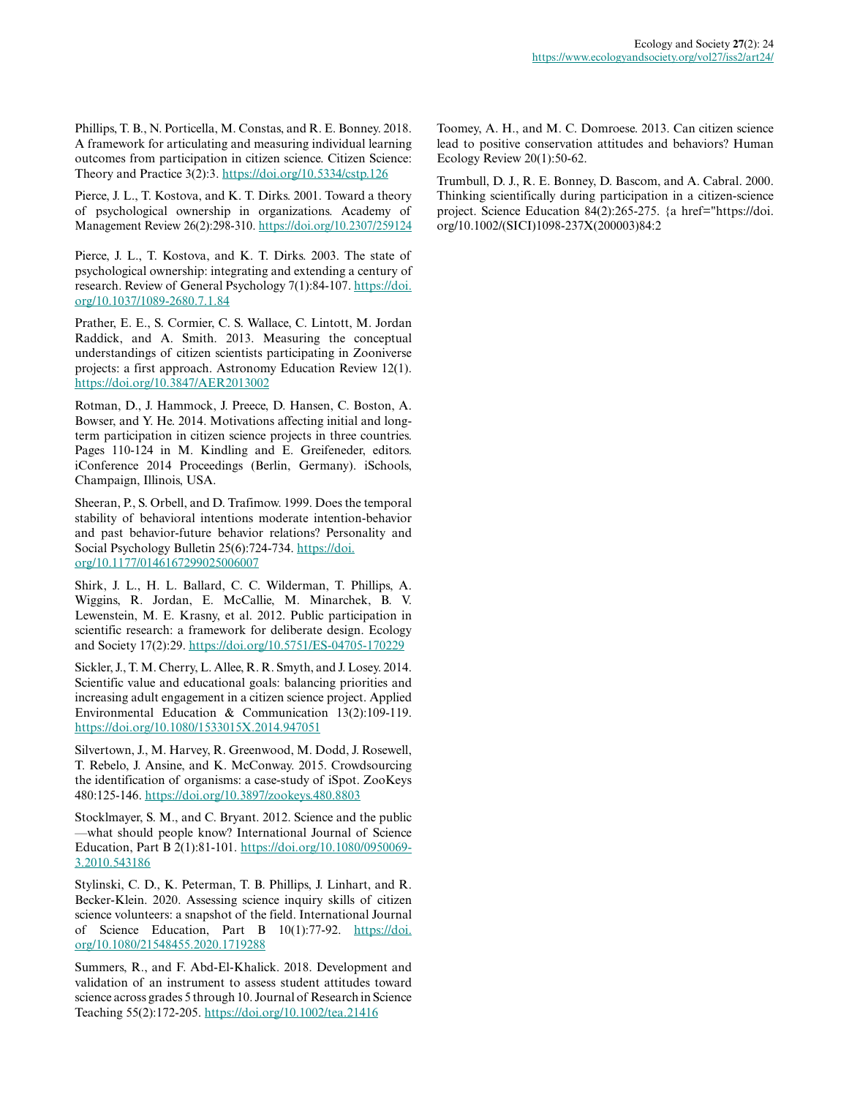Phillips, T. B., N. Porticella, M. Constas, and R. E. Bonney. 2018. A framework for articulating and measuring individual learning outcomes from participation in citizen science. Citizen Science: Theory and Practice 3(2):3.<https://doi.org/10.5334/cstp.126>

Pierce, J. L., T. Kostova, and K. T. Dirks. 2001. Toward a theory of psychological ownership in organizations. Academy of Management Review 26(2):298-310. <https://doi.org/10.2307/259124>

Pierce, J. L., T. Kostova, and K. T. Dirks. 2003. The state of psychological ownership: integrating and extending a century of research. Review of General Psychology 7(1):84-107. [https://doi.](https://doi.org/10.1037/1089-2680.7.1.84) [org/10.1037/1089-2680.7.1.84](https://doi.org/10.1037/1089-2680.7.1.84) 

Prather, E. E., S. Cormier, C. S. Wallace, C. Lintott, M. Jordan Raddick, and A. Smith. 2013. Measuring the conceptual understandings of citizen scientists participating in Zooniverse projects: a first approach. Astronomy Education Review 12(1). <https://doi.org/10.3847/AER2013002>

Rotman, D., J. Hammock, J. Preece, D. Hansen, C. Boston, A. Bowser, and Y. He. 2014. Motivations affecting initial and longterm participation in citizen science projects in three countries. Pages 110-124 in M. Kindling and E. Greifeneder, editors. iConference 2014 Proceedings (Berlin, Germany). iSchools, Champaign, Illinois, USA.

Sheeran, P., S. Orbell, and D. Trafimow. 1999. Does the temporal stability of behavioral intentions moderate intention-behavior and past behavior-future behavior relations? Personality and Social Psychology Bulletin 25(6):724-734. [https://doi.](https://doi.org/10.1177/0146167299025006007) [org/10.1177/0146167299025006007](https://doi.org/10.1177/0146167299025006007) 

Shirk, J. L., H. L. Ballard, C. C. Wilderman, T. Phillips, A. Wiggins, R. Jordan, E. McCallie, M. Minarchek, B. V. Lewenstein, M. E. Krasny, et al. 2012. Public participation in scientific research: a framework for deliberate design. Ecology and Society 17(2):29.<https://doi.org/10.5751/ES-04705-170229>

Sickler, J., T. M. Cherry, L. Allee, R. R. Smyth, and J. Losey. 2014. Scientific value and educational goals: balancing priorities and increasing adult engagement in a citizen science project. Applied Environmental Education & Communication 13(2):109-119. <https://doi.org/10.1080/1533015X.2014.947051>

Silvertown, J., M. Harvey, R. Greenwood, M. Dodd, J. Rosewell, T. Rebelo, J. Ansine, and K. McConway. 2015. Crowdsourcing the identification of organisms: a case-study of iSpot. ZooKeys 480:125-146. <https://doi.org/10.3897/zookeys.480.8803>

Stocklmayer, S. M., and C. Bryant. 2012. Science and the public —what should people know? International Journal of Science Education, Part B 2(1):81-101. [https://doi.org/10.1080/0950069](https://doi.org/10.1080/09500693.2010.543186) [3.2010.543186](https://doi.org/10.1080/09500693.2010.543186)

Stylinski, C. D., K. Peterman, T. B. Phillips, J. Linhart, and R. Becker-Klein. 2020. Assessing science inquiry skills of citizen science volunteers: a snapshot of the field. International Journal of Science Education, Part B 10(1):77-92. [https://doi.](https://doi.org/10.1080/21548455.2020.1719288) [org/10.1080/21548455.2020.1719288](https://doi.org/10.1080/21548455.2020.1719288) 

Summers, R., and F. Abd-El-Khalick. 2018. Development and validation of an instrument to assess student attitudes toward science across grades 5 through 10. Journal of Research in Science Teaching 55(2):172-205.<https://doi.org/10.1002/tea.21416>

Toomey, A. H., and M. C. Domroese. 2013. Can citizen science lead to positive conservation attitudes and behaviors? Human Ecology Review 20(1):50-62.

Trumbull, D. J., R. E. Bonney, D. Bascom, and A. Cabral. 2000. Thinking scientifically during participation in a citizen-science project. Science Education 84(2):265-275. {a href="https://doi. org/10.1002/(SICI)1098-237X(200003)84:2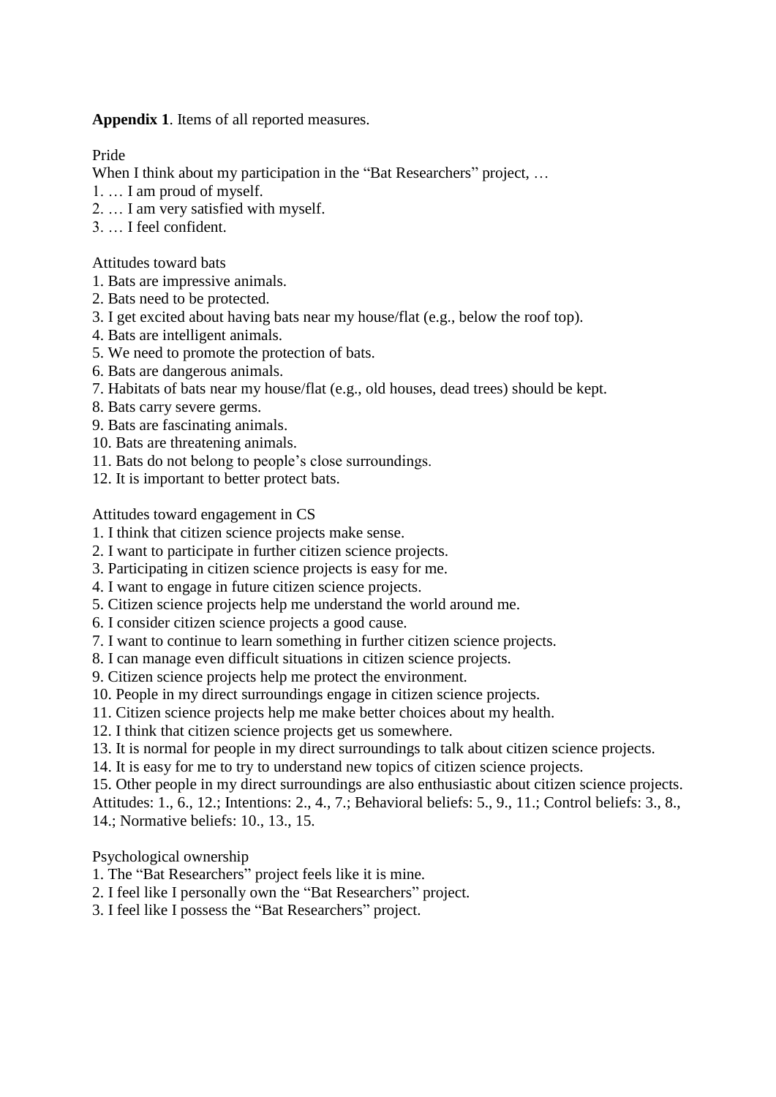**Appendix 1**. Items of all reported measures.

Pride

When I think about my participation in the "Bat Researchers" project, ...

- 1. … I am proud of myself.
- 2. … I am very satisfied with myself.
- 3. … I feel confident.

Attitudes toward bats

- 1. Bats are impressive animals.
- 2. Bats need to be protected.
- 3. I get excited about having bats near my house/flat (e.g., below the roof top).
- 4. Bats are intelligent animals.
- 5. We need to promote the protection of bats.
- 6. Bats are dangerous animals.
- 7. Habitats of bats near my house/flat (e.g., old houses, dead trees) should be kept.
- 8. Bats carry severe germs.
- 9. Bats are fascinating animals.
- 10. Bats are threatening animals.
- 11. Bats do not belong to people's close surroundings.
- 12. It is important to better protect bats.

Attitudes toward engagement in CS

- 1. I think that citizen science projects make sense.
- 2. I want to participate in further citizen science projects.
- 3. Participating in citizen science projects is easy for me.
- 4. I want to engage in future citizen science projects.
- 5. Citizen science projects help me understand the world around me.
- 6. I consider citizen science projects a good cause.
- 7. I want to continue to learn something in further citizen science projects.
- 8. I can manage even difficult situations in citizen science projects.
- 9. Citizen science projects help me protect the environment.
- 10. People in my direct surroundings engage in citizen science projects.
- 11. Citizen science projects help me make better choices about my health.
- 12. I think that citizen science projects get us somewhere.
- 13. It is normal for people in my direct surroundings to talk about citizen science projects.
- 14. It is easy for me to try to understand new topics of citizen science projects.

15. Other people in my direct surroundings are also enthusiastic about citizen science projects. Attitudes: 1., 6., 12.; Intentions: 2., 4., 7.; Behavioral beliefs: 5., 9., 11.; Control beliefs: 3., 8., 14.; Normative beliefs: 10., 13., 15.

Psychological ownership

- 1. The "Bat Researchers" project feels like it is mine.
- 2. I feel like I personally own the "Bat Researchers" project.
- 3. I feel like I possess the "Bat Researchers" project.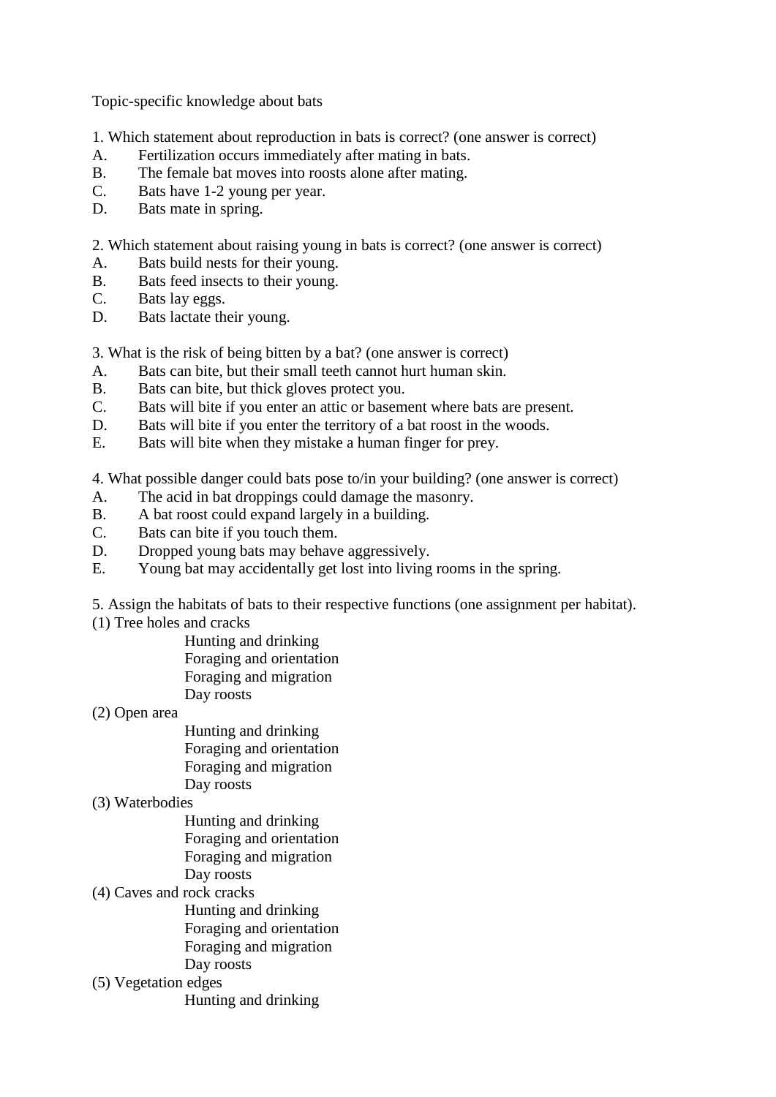Topic-specific knowledge about bats

- 1. Which statement about reproduction in bats is correct? (one answer is correct)
- A. Fertilization occurs immediately after mating in bats.
- B. The female bat moves into roosts alone after mating.
- C. Bats have 1-2 young per year.
- D. Bats mate in spring.

2. Which statement about raising young in bats is correct? (one answer is correct)

- A. Bats build nests for their young.
- B. Bats feed insects to their young.
- C. Bats lay eggs.
- D. Bats lactate their young.
- 3. What is the risk of being bitten by a bat? (one answer is correct)
- A. Bats can bite, but their small teeth cannot hurt human skin.
- B. Bats can bite, but thick gloves protect you.
- C. Bats will bite if you enter an attic or basement where bats are present.
- D. Bats will bite if you enter the territory of a bat roost in the woods.
- E. Bats will bite when they mistake a human finger for prey.

4. What possible danger could bats pose to/in your building? (one answer is correct)

- A. The acid in bat droppings could damage the masonry.
- B. A bat roost could expand largely in a building.
- C. Bats can bite if you touch them.
- D. Dropped young bats may behave aggressively.
- E. Young bat may accidentally get lost into living rooms in the spring.
- 5. Assign the habitats of bats to their respective functions (one assignment per habitat).
- (1) Tree holes and cracks
	- Hunting and drinking Foraging and orientation Foraging and migration Day roosts
- (2) Open area
	- Hunting and drinking Foraging and orientation Foraging and migration Day roosts
- (3) Waterbodies

Hunting and drinking Foraging and orientation Foraging and migration Day roosts

(4) Caves and rock cracks

Hunting and drinking Foraging and orientation Foraging and migration Day roosts

(5) Vegetation edges Hunting and drinking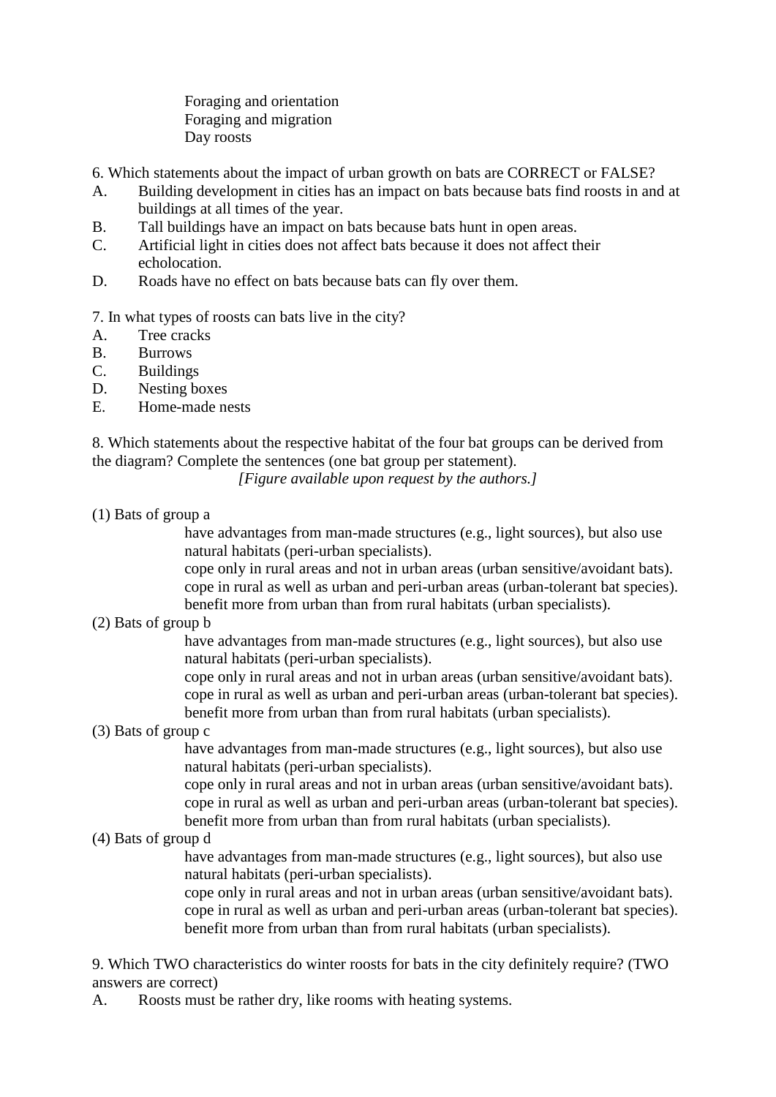Foraging and orientation Foraging and migration Day roosts

- 6. Which statements about the impact of urban growth on bats are CORRECT or FALSE?
- A. Building development in cities has an impact on bats because bats find roosts in and at buildings at all times of the year.
- B. Tall buildings have an impact on bats because bats hunt in open areas.
- C. Artificial light in cities does not affect bats because it does not affect their echolocation.
- D. Roads have no effect on bats because bats can fly over them.

7. In what types of roosts can bats live in the city?

- A. Tree cracks
- B. Burrows
- C. Buildings
- D. Nesting boxes
- E. Home-made nests

8. Which statements about the respective habitat of the four bat groups can be derived from the diagram? Complete the sentences (one bat group per statement).

*[Figure available upon request by the authors.]*

(1) Bats of group a

have advantages from man-made structures (e.g., light sources), but also use natural habitats (peri-urban specialists).

cope only in rural areas and not in urban areas (urban sensitive/avoidant bats). cope in rural as well as urban and peri-urban areas (urban-tolerant bat species). benefit more from urban than from rural habitats (urban specialists).

(2) Bats of group b

have advantages from man-made structures (e.g., light sources), but also use natural habitats (peri-urban specialists).

cope only in rural areas and not in urban areas (urban sensitive/avoidant bats). cope in rural as well as urban and peri-urban areas (urban-tolerant bat species). benefit more from urban than from rural habitats (urban specialists).

(3) Bats of group c

have advantages from man-made structures (e.g., light sources), but also use natural habitats (peri-urban specialists).

cope only in rural areas and not in urban areas (urban sensitive/avoidant bats). cope in rural as well as urban and peri-urban areas (urban-tolerant bat species). benefit more from urban than from rural habitats (urban specialists).

(4) Bats of group d

have advantages from man-made structures (e.g., light sources), but also use natural habitats (peri-urban specialists).

cope only in rural areas and not in urban areas (urban sensitive/avoidant bats). cope in rural as well as urban and peri-urban areas (urban-tolerant bat species). benefit more from urban than from rural habitats (urban specialists).

9. Which TWO characteristics do winter roosts for bats in the city definitely require? (TWO answers are correct)

A. Roosts must be rather dry, like rooms with heating systems.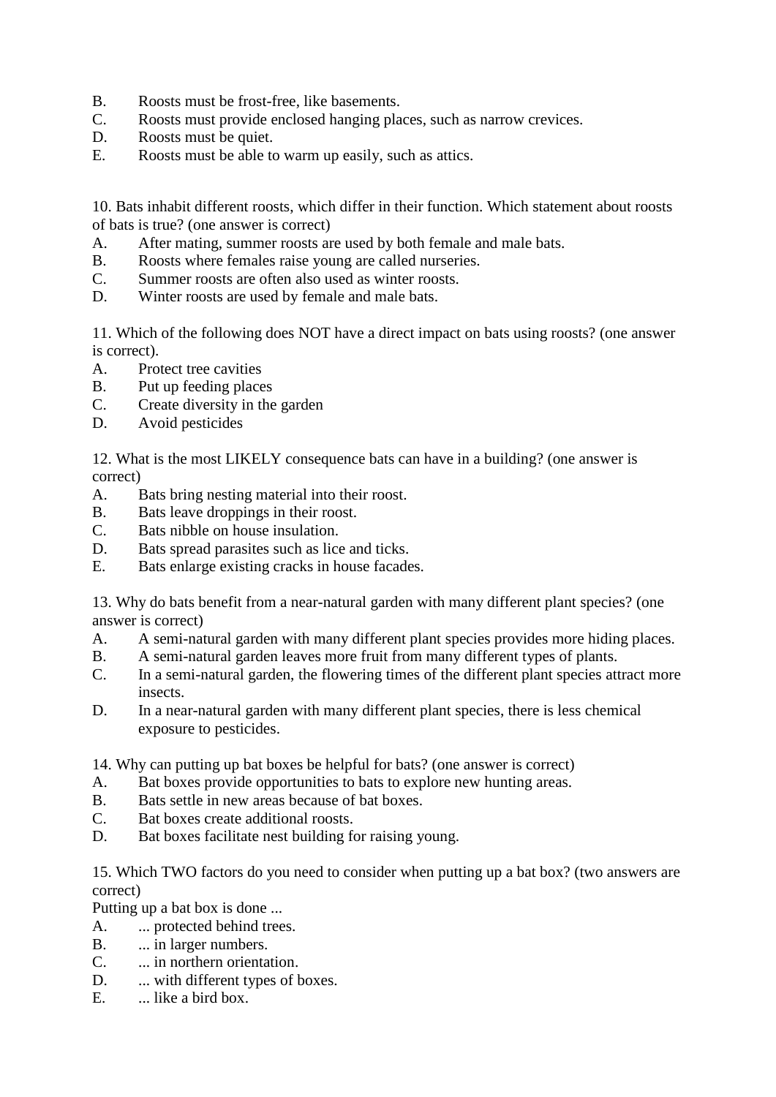- B. Roosts must be frost-free, like basements.
- C. Roosts must provide enclosed hanging places, such as narrow crevices.
- D. Roosts must be quiet.
- E. Roosts must be able to warm up easily, such as attics.

10. Bats inhabit different roosts, which differ in their function. Which statement about roosts of bats is true? (one answer is correct)

- A. After mating, summer roosts are used by both female and male bats.
- B. Roosts where females raise young are called nurseries.
- C. Summer roosts are often also used as winter roosts.
- D. Winter roosts are used by female and male bats.

11. Which of the following does NOT have a direct impact on bats using roosts? (one answer is correct).

- A. Protect tree cavities
- B. Put up feeding places
- C. Create diversity in the garden
- D. Avoid pesticides

12. What is the most LIKELY consequence bats can have in a building? (one answer is correct)

- A. Bats bring nesting material into their roost.
- B. Bats leave droppings in their roost.
- C. Bats nibble on house insulation.
- D. Bats spread parasites such as lice and ticks.
- E. Bats enlarge existing cracks in house facades.

13. Why do bats benefit from a near-natural garden with many different plant species? (one answer is correct)

- A. A semi-natural garden with many different plant species provides more hiding places.
- B. A semi-natural garden leaves more fruit from many different types of plants.
- C. In a semi-natural garden, the flowering times of the different plant species attract more insects.
- D. In a near-natural garden with many different plant species, there is less chemical exposure to pesticides.

14. Why can putting up bat boxes be helpful for bats? (one answer is correct)

- A. Bat boxes provide opportunities to bats to explore new hunting areas.
- B. Bats settle in new areas because of bat boxes.
- C. Bat boxes create additional roosts.
- D. Bat boxes facilitate nest building for raising young.

15. Which TWO factors do you need to consider when putting up a bat box? (two answers are correct)

Putting up a bat box is done ...

- A. ... protected behind trees.
- B. ... in larger numbers.
- C. ... in northern orientation.
- D. ... with different types of boxes.
- E. ... like a bird box.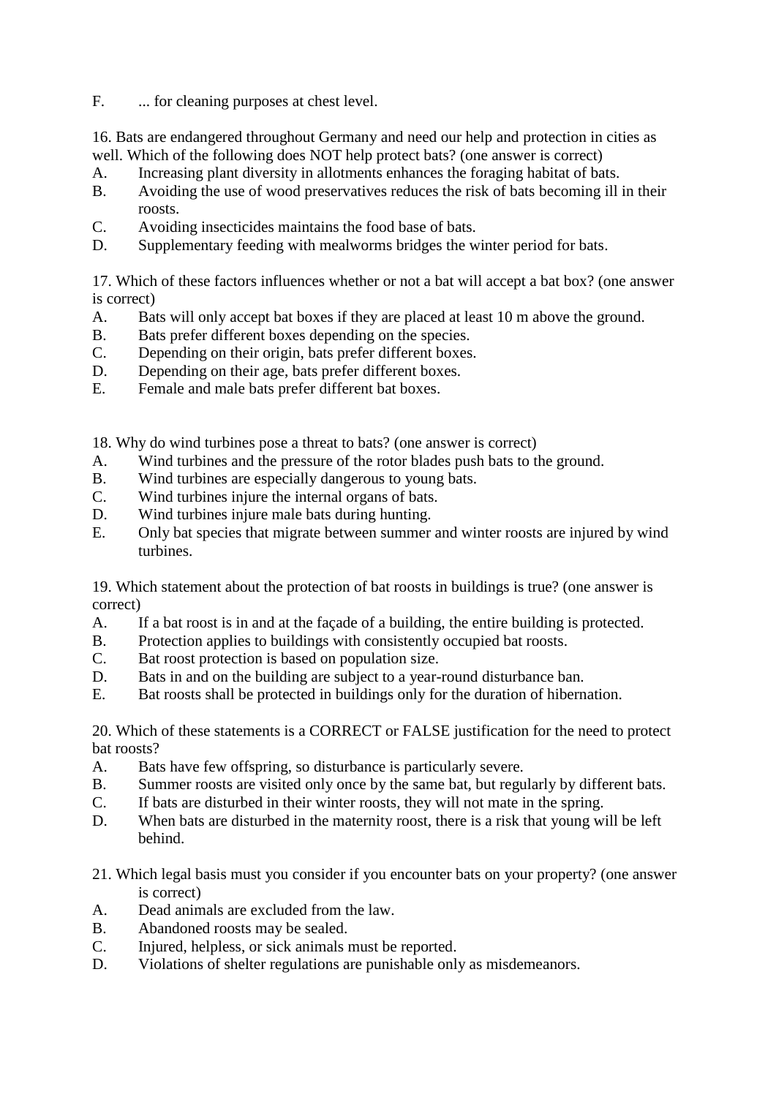F. ... for cleaning purposes at chest level.

16. Bats are endangered throughout Germany and need our help and protection in cities as well. Which of the following does NOT help protect bats? (one answer is correct)

- A. Increasing plant diversity in allotments enhances the foraging habitat of bats.
- B. Avoiding the use of wood preservatives reduces the risk of bats becoming ill in their roosts.
- C. Avoiding insecticides maintains the food base of bats.
- D. Supplementary feeding with mealworms bridges the winter period for bats.

17. Which of these factors influences whether or not a bat will accept a bat box? (one answer is correct)

- A. Bats will only accept bat boxes if they are placed at least 10 m above the ground.
- B. Bats prefer different boxes depending on the species.
- C. Depending on their origin, bats prefer different boxes.
- D. Depending on their age, bats prefer different boxes.
- E. Female and male bats prefer different bat boxes.

18. Why do wind turbines pose a threat to bats? (one answer is correct)

- A. Wind turbines and the pressure of the rotor blades push bats to the ground.
- B. Wind turbines are especially dangerous to young bats.
- C. Wind turbines injure the internal organs of bats.
- D. Wind turbines injure male bats during hunting.
- E. Only bat species that migrate between summer and winter roosts are injured by wind turbines.

19. Which statement about the protection of bat roosts in buildings is true? (one answer is correct)

- A. If a bat roost is in and at the façade of a building, the entire building is protected.
- B. Protection applies to buildings with consistently occupied bat roosts.
- C. Bat roost protection is based on population size.
- D. Bats in and on the building are subject to a year-round disturbance ban.
- E. Bat roosts shall be protected in buildings only for the duration of hibernation.

20. Which of these statements is a CORRECT or FALSE justification for the need to protect bat roosts?

- A. Bats have few offspring, so disturbance is particularly severe.
- B. Summer roosts are visited only once by the same bat, but regularly by different bats.
- C. If bats are disturbed in their winter roosts, they will not mate in the spring.
- D. When bats are disturbed in the maternity roost, there is a risk that young will be left behind.
- 21. Which legal basis must you consider if you encounter bats on your property? (one answer is correct)
- A. Dead animals are excluded from the law.
- B. Abandoned roosts may be sealed.
- C. Injured, helpless, or sick animals must be reported.
- D. Violations of shelter regulations are punishable only as misdemeanors.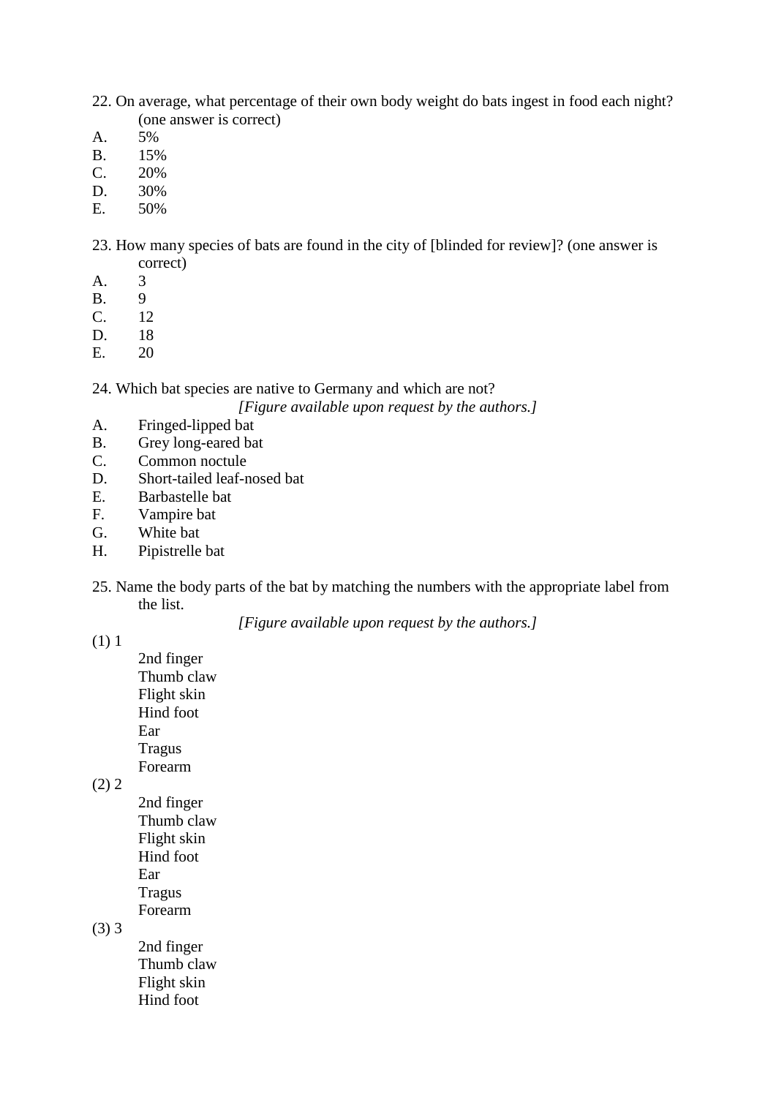22. On average, what percentage of their own body weight do bats ingest in food each night? (one answer is correct)

- A. 5%
- B. 15%
- $C. 20%$
- D. 30%
- E. 50%

23. How many species of bats are found in the city of [blinded for review]? (one answer is correct)

- 
- A. 3<br>B. 9  $B<sub>1</sub>$
- C. 12
- D. 18
- E. 20
- 

24. Which bat species are native to Germany and which are not?

*[Figure available upon request by the authors.]*

- A. Fringed-lipped bat
- B. Grey long-eared bat
- C. Common noctule
- D. Short-tailed leaf-nosed bat
- E. Barbastelle bat
- F. Vampire bat
- G. White bat
- H. Pipistrelle bat
- 25. Name the body parts of the bat by matching the numbers with the appropriate label from the list.

*[Figure available upon request by the authors.]*

(1) 1

2nd finger Thumb claw Flight skin Hind foot Ear Tragus Forearm

 $(2) 2$ 

2nd finger Thumb claw Flight skin Hind foot Ear Tragus Forearm

(3) 3

2nd finger Thumb claw Flight skin Hind foot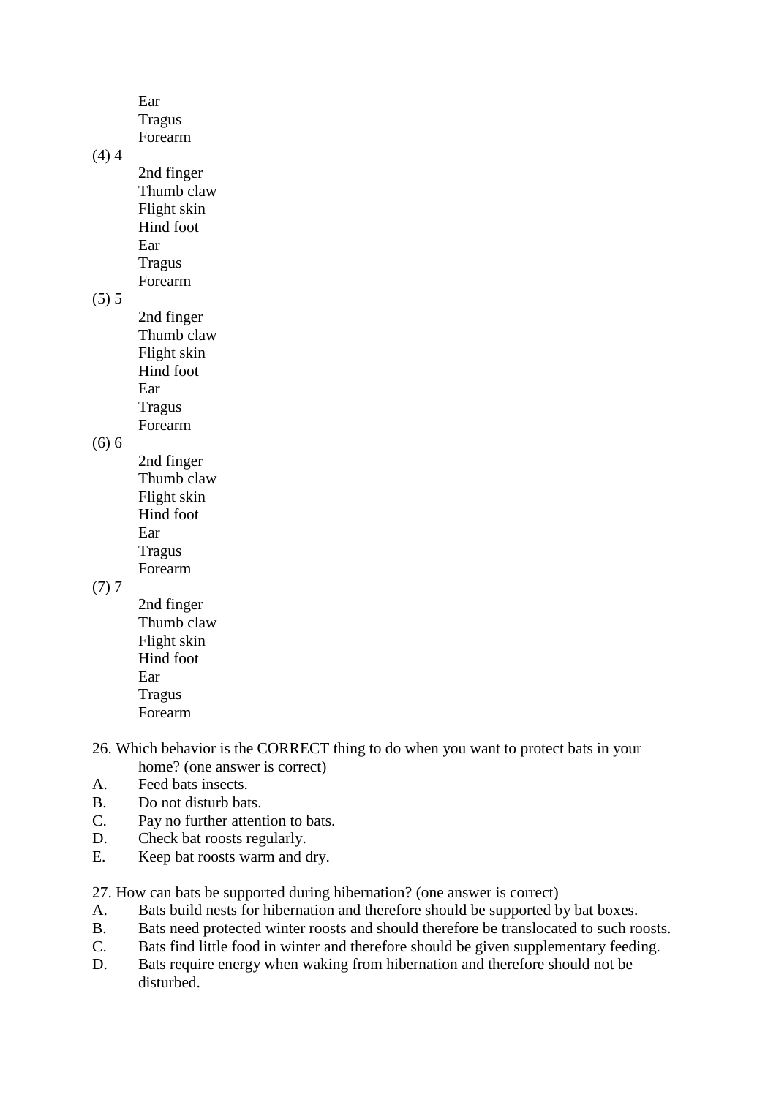Ear Tragus

Forearm

 $(4)$  4

2nd finger Thumb claw Flight skin Hind foot Ear Tragus Forearm

 $(5) 5$ 

2nd finger Thumb claw Flight skin Hind foot Ear Tragus Forearm

(6) 6

2nd finger Thumb claw Flight skin Hind foot Ear Tragus Forearm

 $(7) 7$ 

2nd finger Thumb claw Flight skin Hind foot Ear Tragus Forearm

## 26. Which behavior is the CORRECT thing to do when you want to protect bats in your home? (one answer is correct)

- A. Feed bats insects.
- B. Do not disturb bats.
- C. Pay no further attention to bats.
- D. Check bat roosts regularly.
- E. Keep bat roosts warm and dry.
- 27. How can bats be supported during hibernation? (one answer is correct)
- A. Bats build nests for hibernation and therefore should be supported by bat boxes.
- B. Bats need protected winter roosts and should therefore be translocated to such roosts.
- C. Bats find little food in winter and therefore should be given supplementary feeding.
- D. Bats require energy when waking from hibernation and therefore should not be disturbed.